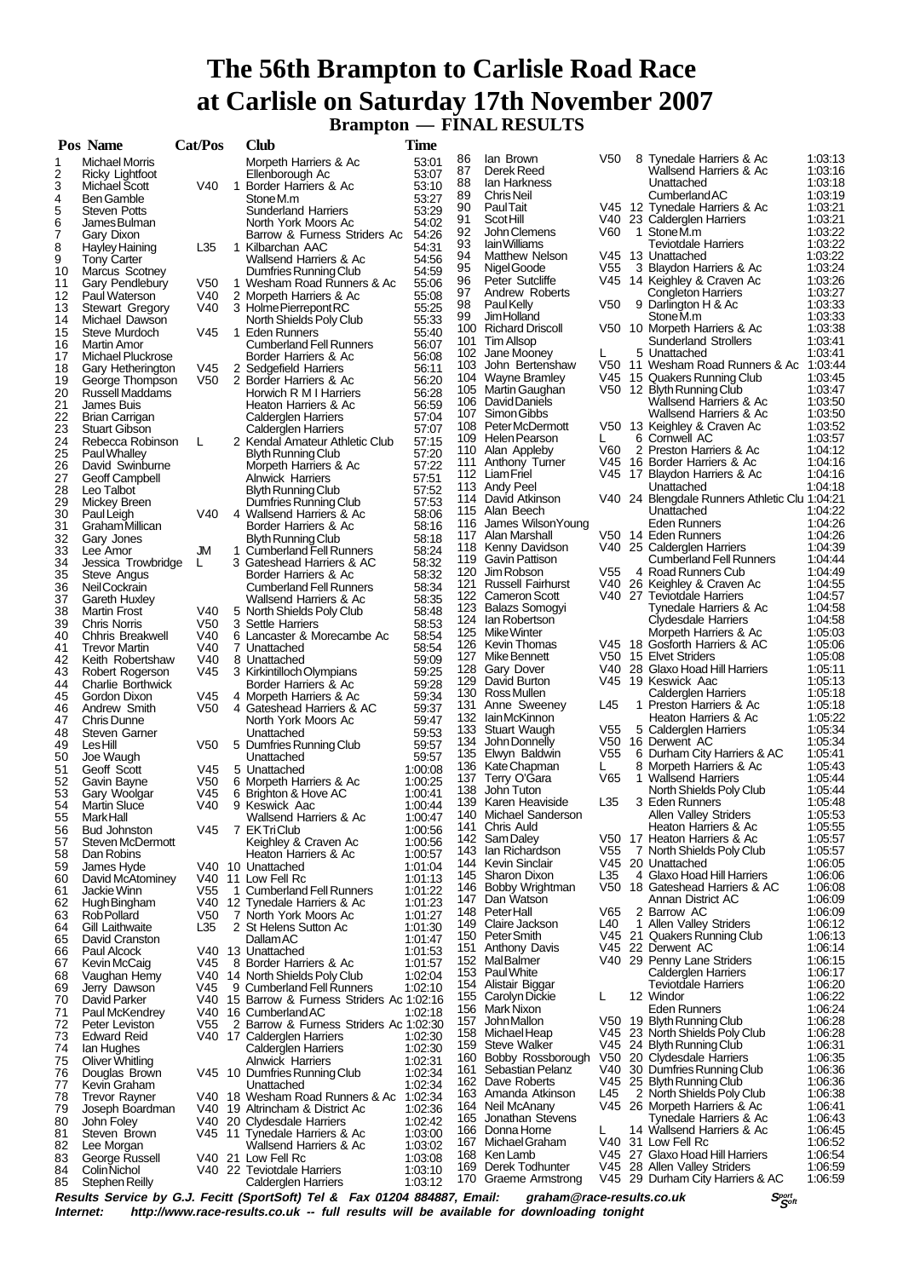## **The 56th Brampton to Carlisle Road Race at Carlisle on Saturday 17th November 2007 Brampton — FINAL RESULTS**

|          | Pos Name                                  | Cat/Pos         | Club                                             | <b>Time</b>        |          |                                          |      |                                                        |                    |
|----------|-------------------------------------------|-----------------|--------------------------------------------------|--------------------|----------|------------------------------------------|------|--------------------------------------------------------|--------------------|
| 1        | <b>Michael Morris</b>                     |                 | Morpeth Harriers & Ac                            | 53:01              | 86       | lan Brown                                | V50  | 8 Tynedale Harriers & Ac                               | 1:03:13            |
| 2        | Ricky Lightfoot                           |                 | Ellenborough Ac                                  | 53:07              | 87       | Derek Reed                               |      | Wallsend Harriers & Ac                                 | 1:03:16            |
| 3        | Michael Scott                             | V40             | 1 Border Harriers & Ac                           | 53:10              | 88       | lan Harkness                             |      | Unattached                                             | 1:03:18            |
| 4        | <b>Ben Gamble</b>                         |                 | Stone M.m                                        | 53:27              | 89       | Chris Neil                               |      | <b>Cumberland AC</b>                                   | 1:03:19            |
| 5        | <b>Steven Potts</b>                       |                 | <b>Sunderland Harriers</b>                       | 53:29              | 90       | <b>PaulTait</b>                          |      | V45 12 Tynedale Harriers & Ac                          | 1:03:21            |
| 6        | James Bulman                              |                 | North York Moors Ac                              | 54:02              | 91       | Scot Hill                                |      | V40 23 Calderglen Harriers                             | 1:03:21            |
| 7        | Gary Dixon                                |                 | Barrow & Furness Striders Ac                     | 54:26              | 92       | John Clemens                             | V60  | 1 StoneM.m                                             | 1:03:22            |
| 8        | Hayley Haining                            | L35             | 1 Kilbarchan AAC                                 | 54:31              | 93       | lain Williams                            |      | Teviotdale Harriers                                    | 1:03:22            |
| 9        | <b>Tony Carter</b>                        |                 | Wallsend Harriers & Ac                           | 54:56              | 94       | Matthew Nelson                           |      | V45 13 Unattached                                      | 1.03.22            |
| 10       | Marcus Scotney                            |                 | Dumfries Running Club                            | 54:59              | 95<br>96 | Nigel Goode                              | V55  | 3 Blaydon Harriers & Ac<br>V45 14 Keighley & Craven Ac | 1:03:24            |
| 11       | Gary Pendlebury                           | V50             | 1 Wesham Road Runners & Ac                       | 55:06              | 97       | Peter Sutcliffe<br>Andrew Roberts        |      | <b>Congleton Harriers</b>                              | 1:03:26<br>1:03:27 |
| 12       | Paul Waterson                             | V40             | 2 Morpeth Harriers & Ac                          | 55:08              | 98       | Paul Kelly                               | V50  | 9 Darlington H & Ac                                    | 1:03:33            |
| 13       | <b>Stewart Gregory</b>                    | V40             | 3 Holme Pierrepont RC                            | 55:25              | 99       | <b>JimHolland</b>                        |      | Stone M.m                                              | 1:03:33            |
| 14       | Michael Dawson                            |                 | North Shields Poly Club                          | 55:33              |          | 100 Richard Driscoll                     |      | V50 10 Morpeth Harriers & Ac                           | 1:03:38            |
| 15       | Steve Murdoch                             | V45             | 1 Eden Runners                                   | 55:40              | 101      | <b>Tim Allsop</b>                        |      | Sunderland Strollers                                   | 1:03:41            |
| 16       | Martin Amor                               |                 | <b>Cumberland Fell Runners</b>                   | 56:07              |          | 102 Jane Mooney                          | L    | 5 Unattached                                           | 1:03:41            |
| 17       | Michael Pluckrose                         |                 | Border Harriers & Ac                             | 56:08              | 103      | John Bertenshaw                          |      | V50 11 Wesham Road Runners & Ac                        | 1:03:44            |
| 18       | Gary Hetherington                         | V45             | 2 Sedgefield Harriers                            | 56:11              |          | 104 Wayne Bramley                        |      | V45 15 Quakers Running Club                            | 1:03:45            |
| 19<br>20 | George Thompson<br><b>Russell Maddams</b> | V50             | 2 Border Harriers & Ac<br>Horwich R M I Harriers | 56:20<br>56:28     |          | 105 Martin Gaughan                       |      | V50 12 Blyth Running Club                              | 1.03.47            |
| 21       | James Buis                                |                 | Heaton Harriers & Ac                             | 56:59              |          | 106 David Daniels                        |      | Wallsend Harriers & Ac                                 | 1:03:50            |
| 22       | <b>Brian Carrigan</b>                     |                 | Calderglen Harriers                              | 57:04              |          | 107 Simon Gibbs                          |      | Wallsend Harriers & Ac                                 | 1:03:50            |
| 23       | <b>Stuart Gibson</b>                      |                 | <b>Calderglen Harriers</b>                       | 57:07              |          | 108 Peter McDermott                      |      | V50 13 Keighley & Craven Ac                            | 1:03:52            |
| 24       | Rebecca Robinson                          | L               | 2 Kendal Amateur Athletic Club                   | 57:15              |          | 109 Helen Pearson                        | L    | 6 Cornwell AC                                          | 1:03:57            |
| 25       | Paul Whalley                              |                 | <b>Blyth Running Club</b>                        | 57:20              |          | 110 Alan Appleby                         | V60  | 2 Preston Harriers & Ac                                | 1:04:12            |
| 26       | David Swinburne                           |                 | Morpeth Harriers & Ac                            | 57:22              |          | 111 Anthony Turner                       | V45  | 16 Border Harriers & Ac                                | 1:04:16            |
| 27       | <b>Geoff Campbell</b>                     |                 | <b>Alnwick Harriers</b>                          | 57:51              |          | 112 Liam Friel                           |      | V45 17 Blaydon Harriers & Ac                           | 1:04:16            |
| 28       | Leo Talbot                                |                 | <b>Blyth Running Club</b>                        | 57:52              |          | 113 Andy Peel                            |      | Unattached                                             | 1:04:18            |
| 29       | Mickey Breen                              |                 | Dumfries Running Club                            | 57:53              |          | 114 David Atkinson                       |      | V40 24 Blengdale Runners Athletic Clu 1:04:21          |                    |
| 30       | Paul Leigh                                | V40             | 4 Wallsend Harriers & Ac                         | 58:06              |          | 115 Alan Beech                           |      | Unattached                                             | 1:04:22            |
| 31       | Graham Millican                           |                 | Border Harriers & Ac                             | 58:16              | 116      | James Wilson Young                       |      | Eden Runners                                           | 1:04:26            |
| 32       | Gary Jones                                |                 | Blyth Running Club                               | 58:18              |          | 117 Alan Marshall                        |      | V50 14 Eden Runners                                    | 1:04:26            |
| 33       | Lee Amor                                  | JM              | 1 Cumberland Fell Runners                        | 58:24              |          | 118 Kenny Davidson                       |      | V40 25 Calderglen Harriers                             | 1:04:39            |
| 34       | Jessica Trowbridge                        | L               | 3 Gateshead Harriers & AC                        | 58:32              |          | 119 Gavin Pattison                       |      | <b>Cumberland Fell Runners</b>                         | 1:04:44            |
| 35       | Steve Angus                               |                 | Border Harriers & Ac                             | 58:32              |          | 120 Jim Robson                           | V55  | 4 Road Runners Cub                                     | 1:04:49            |
| 36       | Neil Cockrain                             |                 | <b>Cumberland Fell Runners</b>                   | 58:34              |          | 121 Russell Fairhurst                    |      | V40 26 Keighley & Craven Ac                            | 1:04:55            |
| 37       | Gareth Huxley                             |                 | Wallsend Harriers & Ac                           | 58:35              |          | 122 Cameron Scott                        |      | V40 27 Teviotdale Harriers                             | 1:04:57            |
| 38       | <b>Martin Frost</b>                       | V40             | 5 North Shields Poly Club                        | 58:48              |          | 123 Balazs Somogyi                       |      | Tynedale Harriers & Ac                                 | 1:04:58            |
| 39       | <b>Chris Norris</b>                       | V50             | 3 Settle Harriers                                | 58:53              |          | 124 Ian Robertson                        |      | Clydesdale Harriers                                    | 1:04:58            |
| 40       | Chhris Breakwell                          | V40             | 6 Lancaster & Morecambe Ac                       | 58:54              |          | 125 Mike Winter                          |      | Morpeth Harriers & Ac                                  | 1:05:03            |
| 41       | <b>Trevor Martin</b>                      | V40             | 7 Unattached                                     | 58:54              |          | 126 Kevin Thomas                         |      | V45 18 Gosforth Harriers & AC                          | 1:05:06            |
| 42       | Keith Robertshaw                          | V40             | 8 Unattached                                     | 59:09              |          | 127 Mike Bennett                         |      | V50 15 Elvet Striders                                  | 1:05:08            |
| 43       | Robert Rogerson                           | V45             | 3 Kirkintilloch Olympians                        | 59:25              |          | 128 Gary Dover                           |      | V40 28 Glaxo Hoad Hill Harriers                        | 1:05:11            |
| 44       | <b>Charlie Borthwick</b>                  |                 | Border Harriers & Ac                             | 59:28              | 129      | David Burton                             |      | V45 19 Keswick Aac                                     | 1:05:13            |
| 45       | Gordon Dixon                              | V45             | 4 Morpeth Harriers & Ac                          | 59:34              |          | 130 Ross Mullen                          |      | Calderglen Harriers                                    | 1:05:18            |
| 46       | Andrew Smith                              | V <sub>50</sub> | 4 Gateshead Harriers & AC                        | 59:37              | 131      | Anne Sweeney                             | L45  | 1 Preston Harriers & Ac                                | 1:05:18            |
| 47       | Chris Dunne                               |                 | North York Moors Ac                              | 59:47              |          | 132 lainMcKinnon                         |      | Heaton Harriers & Ac                                   | 1:05:22            |
| 48       | <b>Steven Garner</b>                      |                 | Unattached                                       | 59.53              | 133      | Stuart Waugh                             | V55  | 5 Calderglen Harriers                                  | 1:05:34            |
| 49       | LesHill                                   | V50             | 5 Dumfries Running Club                          | 59.57              | 134      | John Donnelly                            |      | V50 16 Derwent AC                                      | 1:05:34            |
| 50       | Joe Waugh                                 |                 | Unattached                                       | 59.57              | 135      | Elwyn Baldwin                            | V55  | 6 Durham City Harriers & AC                            | 1:05:41            |
| 51       | Geoff Scott                               | V45             | 5 Unattached                                     | 1:00:08            | 136      | Kate Chapman                             | L    | 8 Morpeth Harriers & Ac                                | 1.05.43            |
| 52       | Gavin Bayne                               | V <sub>50</sub> | 6 Morpeth Harriers & Ac                          | 1:00:25            | 137      | Terry O'Gara                             | V65  | 1 Wallsend Harriers<br>North Shields Poly Club         | 1:05:44<br>1:05:44 |
| 53       | Gary Woolgar                              | V45             | 6 Brighton & Hove AC                             | 1:00:41            | 138      | John Tuton                               |      |                                                        |                    |
| 54       | <b>Martin Sluce</b>                       | V40             | 9 Keswick Aac                                    | 1:00:44            | 139      | Karen Heaviside<br>140 Michael Sanderson | L35  | 3 Eden Runners<br><b>Allen Valley Striders</b>         | 1:05:48            |
| 55       | Mark Hall                                 |                 | Wallsend Harriers & Ac                           | 1:00:47            |          | 141 Chris Auld                           |      |                                                        | 1:05:53            |
| 56       | <b>Bud Johnston</b>                       | V45             | 7 EKTriClub                                      | 1:00:56            |          | 142 Sam Daley                            | V50. | Heaton Harriers & Ac<br>17 Heaton Harriers & Ac        | 1:05:55<br>1:05:57 |
| 57       | Steven McDermott                          |                 | Keighley & Craven Ac                             | 1:00:56            | 143      | lan Richardson                           | V55  | 7 North Shields Poly Club                              | 1:05:57            |
| 58       | Dan Robins                                |                 | Heaton Harriers & Ac                             | 1:00:57            | 144      | Kevin Sinclair                           |      | V45 20 Unattached                                      | 1:06:05            |
| 59       | James Hyde                                |                 | V40 10 Unattached                                | 1:01:04            | 145      | Sharon Dixon                             | L35  | 4 Glaxo Hoad Hill Harriers                             | 1:06:06            |
| 60       | David McAtominey                          |                 | V40 11 Low Fell Rc                               | 1:01:13            | 146      | Bobby Wrightman                          |      | V50 18 Gateshead Harriers & AC                         | 1:06:08            |
| 61       | Jackie Winn                               | V55             | 1 Cumberland Fell Runners                        | 1:01:22            | 147      | Dan Watson                               |      | Annan District AC                                      | 1:06:09            |
| 62       | Hugh Bingham                              |                 | V40 12 Tynedale Harriers & Ac                    | 1:01:23            | 148      | PeterHall                                | V65  | 2 Barrow AC                                            | 1:06:09            |
| 63       | <b>Rob Pollard</b>                        | V50             | 7 North York Moors Ac                            | 1:01:27            | 149      | Claire Jackson                           | L40  | 1 Allen Valley Striders                                | 1:06:12            |
| 64       | Gill Laithwaite                           | L35             | 2 St Helens Sutton Ac<br>Dallam AC               | 1:01:30<br>1:01:47 | 150      | <b>PeterSmith</b>                        |      | V45 21 Quakers Running Club                            | 1:06:13            |
| 65       | David Cranston<br>Paul Alcock             |                 | V40 13 Unattached                                |                    | 151      | <b>Anthony Davis</b>                     |      | V45 22 Derwent AC                                      | 1:06:14            |
| 66<br>67 | Kevin McCaig                              | V45             | 8 Border Harriers & Ac                           | 1:01:53<br>1:01:57 | 152      | MalBalmer                                |      | V40 29 Penny Lane Striders                             | 1:06:15            |
|          |                                           |                 | V40 14 North Shields Poly Club                   | 1:02:04            | 153      | <b>Paul White</b>                        |      | Calderglen Harriers                                    | 1:06:17            |
| 68<br>69 | Vaughan Hemy<br>Jerry Dawson              | V45             | 9 Cumberland Fell Runners                        | 1:02:10            | 154      | Alistair Biggar                          |      | <b>Teviotdale Harriers</b>                             | 1:06:20            |
| 70       | David Parker                              | V40             | 15 Barrow & Furness Striders Ac 1:02:16          |                    | 155      | Carolyn Dickie                           | Г    | 12 Windor                                              | 1:06:22            |
| 71       | Paul McKendrey                            | V40             | 16 Cumberland AC                                 | 1:02:18            |          | 156 Mark Nixon                           |      | <b>Eden Runners</b>                                    | 1:06:24            |
| 72       | Peter Leviston                            | V55             | 2 Barrow & Furness Striders Ac 1:02:30           |                    | 157      | John Mallon                              |      | V50 19 Blyth Running Club                              | 1:06:28            |
| 73       | <b>Edward Reid</b>                        |                 | V40 17 Calderglen Harriers                       | 1:02:30            | 158      | Michael Heap                             |      | V45 23 North Shields Poly Club                         | 1:06:28            |
| 74       | lan Hughes                                |                 | <b>Calderglen Harriers</b>                       | 1:02:30            | 159      | <b>Steve Walker</b>                      |      | V45 24 Blyth Running Club                              | 1:06:31            |
| 75       | Oliver Whitling                           |                 | <b>Alnwick Harriers</b>                          | 1:02:31            | 160      | Bobby Rossborough                        | V50  | 20 Clydesdale Harriers                                 | 1:06:35            |
| 76       | Douglas Brown                             |                 | V45 10 Dumfries Running Club                     | 1:02:34            | 161      | Sebastian Pelanz                         |      | V40 30 Dumfries Running Club                           | 1:06:36            |
| 77       | Kevin Graham                              |                 | Unattached                                       | 1:02:34            |          | 162 Dave Roberts                         |      | V45 25 Blyth Running Club                              | 1:06:36            |
| 78       | <b>Trevor Rayner</b>                      |                 | V40 18 Wesham Road Runners & Ac                  | 1:02:34            | 163      | Amanda Atkinson                          | L45  | 2 North Shields Poly Club                              | 1:06:38            |
| 79       | Joseph Boardman                           |                 | V40 19 Altrincham & District Ac                  | 1:02:36            | 164      | Neil McAnany                             |      | V45 26 Morpeth Harriers & Ac                           | 1:06:41            |
| 80       | John Foley                                |                 | V40 20 Clydesdale Harriers                       | 1:02:42            | 165      | Jonathan Stevens                         |      | Tynedale Harriers & Ac                                 | 1:06:43            |
| 81       | Steven Brown                              |                 | V45 11 Tynedale Harriers & Ac                    | 1:03:00            | 166      | Donna Horne                              |      | 14 Wallsend Harriers & Ac                              | 1:06:45            |
| 82       | Lee Morgan                                |                 | Wallsend Harriers & Ac                           | 1:03:02            | 167      | Michael Graham                           |      | V40 31 Low Fell Rc                                     | 1:06:52            |
| 83       | George Russell                            |                 | V40 21 Low Fell Rc                               | 1:03:08            |          | 168 Ken Lamb                             |      | V45 27 Glaxo Hoad Hill Harriers                        | 1:06:54            |
| 84       | Colin Nichol                              |                 | V40 22 Teviotdale Harriers                       | 1:03:10            | 169      | Derek Todhunter                          | V45  | 28 Allen Valley Striders                               | 1:06:59            |
| 85       | Stephen Reilly                            |                 | Calderglen Harriers                              | 1:03:12            | 170      | Graeme Armstrong                         |      | V45 29 Durham City Harriers & AC                       | 1:06:59            |

**Results Service by G.J. Fecitt (SportSoft) Tel & Fax 01204 884887, Email: graham@race-results.co.uk S<sup>port</sup> S<sup>ergt</sup><br>Internet: http://www.race-results.co.uk -- full results will be available for downloading tonight** http://www.race-results.co.uk -- full results will be available for downloading tonight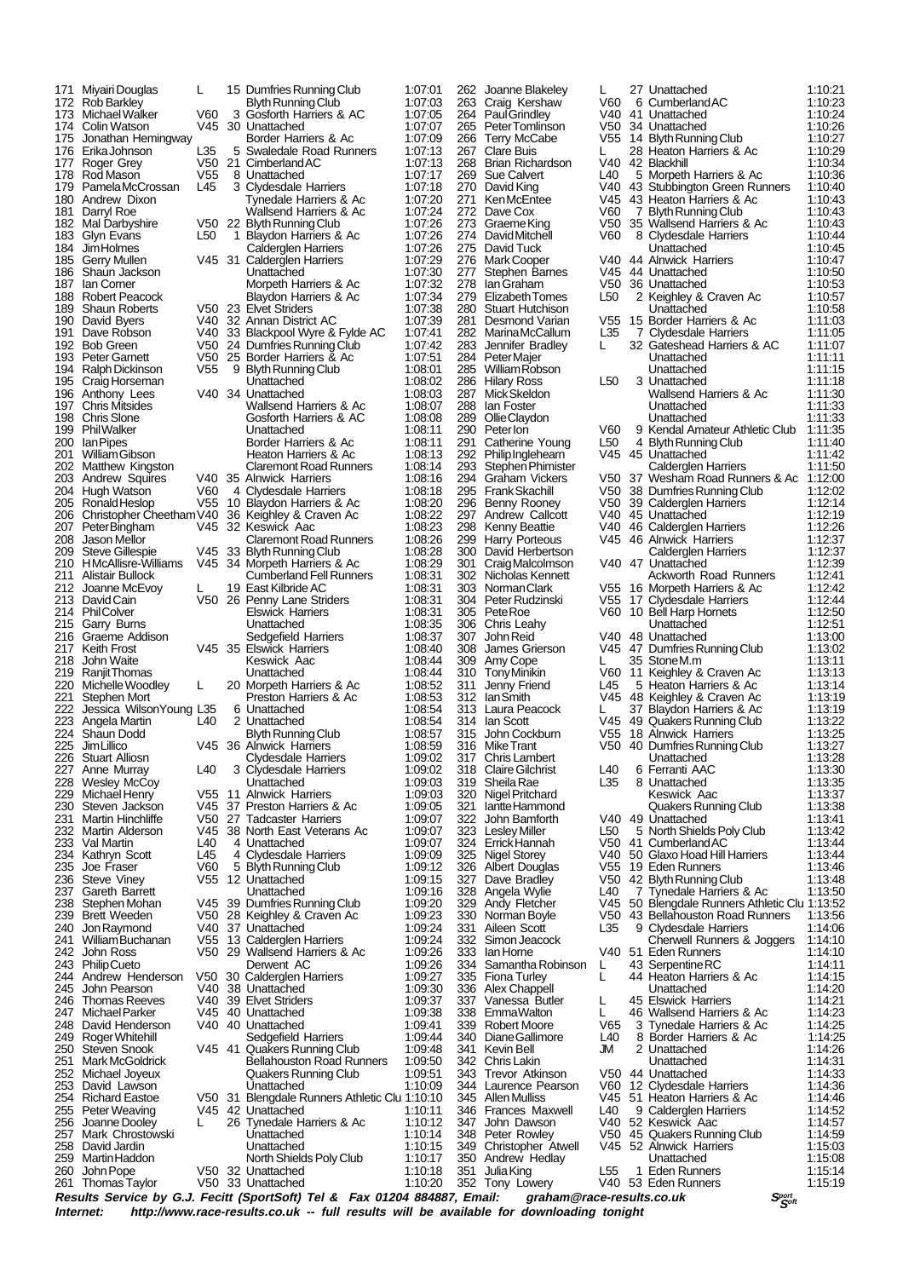| 171<br>172  | Miyairi Douglas<br><b>Rob Barkley</b>      | L               | 15 Dumfries Running Club<br>Blyth Running Club           | 1:07:01<br>1.07.03 | 262<br>263 | Joanne Blakeley<br>Craig Kershaw             | L<br>V60        |   | 27 Unattached<br>6 Cumberland AC                             | 1:10:21<br>1:10:23 |
|-------------|--------------------------------------------|-----------------|----------------------------------------------------------|--------------------|------------|----------------------------------------------|-----------------|---|--------------------------------------------------------------|--------------------|
|             | 173 Michael Walker                         | V60             | 3 Gosforth Harriers & AC                                 | 1:07:05            | 264        | <b>PaulGrindley</b>                          | V40.            |   | 41 Unattached                                                | 1:10:24            |
|             | 174 Colin Watson<br>175 Jonathan Hemingway | V45             | 30 Unattached<br>Border Harriers & Ac                    | 1:07:07<br>1:07:09 | 265<br>266 | Peter Tomlinson                              | V50<br>V55      |   | 34 Unattached                                                | 1:10:26<br>1:10:27 |
|             | 176 Erika Johnson                          | L35             | 5 Swaledale Road Runners                                 | 1:07:13            | 267        | <b>Terry McCabe</b><br><b>Clare Buis</b>     | L               |   | 14 Blyth Running Club<br>28 Heaton Harriers & Ac             | 1:10:29            |
| 177         | Roger Grey                                 | V50             | 21 Cimberland AC                                         | 1:07:13            | 268        | Brian Richardson                             |                 |   | V40 42 Blackhill                                             | 1:10:34            |
| 178<br>179  | Rod Mason<br>PamelaMcCrossan               | V55<br>L45      | 8 Unattached<br>3 Clydesdale Harriers                    | 1:07:17<br>1:07:18 | 269<br>270 | Sue Calvert<br>David King                    | L40             |   | 5 Morpeth Harriers & Ac<br>V40 43 Stubbington Green Runners  | 1:10:36<br>1:10:40 |
| 180         | Andrew Dixon                               |                 | Tynedale Harriers & Ac                                   | 1:07:20            | 271        | Ken McEntee                                  |                 |   | V45 43 Heaton Harriers & Ac                                  | 1:10:43            |
| 181         | Darryl Roe                                 |                 | Wallsend Harriers & Ac                                   | 1:07:24            | 272        | Dave Cox                                     | V60             | 7 | <b>Blyth Running Club</b>                                    | 1:10:43            |
| 182<br>183  | Mal Darbyshire<br>Glyn Evans               | L50             | V50 22 Blyth Running Club<br>1 Blaydon Harriers & Ac     | 1:07:26<br>1:07:26 | 273<br>274 | Graeme King<br>David Mitchell                | V60             |   | V50 35 Wallsend Harriers & Ac<br>8 Clydesdale Harriers       | 1:10:43<br>1:10:44 |
| 184         | Jim Holmes                                 |                 | Calderglen Harriers                                      | 1:07:26            |            | 275 David Tuck                               |                 |   | Unattached                                                   | 1:10:45            |
| 186         | 185 Gerry Mullen<br>Shaun Jackson          |                 | V45 31 Calderglen Harriers<br>Unattached                 | 1:07:29<br>1:07:30 | 276<br>277 | Mark Cooper<br><b>Stephen Barnes</b>         |                 |   | V40 44 Alnwick Harriers<br>V45 44 Unattached                 | 1:10:47<br>1:10:50 |
| 187         | lan Corner                                 |                 | Morpeth Harriers & Ac                                    | 1:07:32            | 278        | lan Graham                                   | V50             |   | 36 Unattached                                                | 1:10:53            |
|             | 188 Robert Peacock                         |                 | Blaydon Harriers & Ac                                    | 1:07:34            | 279        | Elizabeth Tomes                              | L <sub>50</sub> |   | 2 Keighley & Craven Ac                                       | 1:10:57            |
| 189<br>190  | <b>Shaun Roberts</b><br>David Byers        |                 | V50 23 Elvet Striders<br>V40 32 Annan District AC        | 1:07:38<br>1:07:39 | 280<br>281 | Stuart Hutchison<br>Desmond Varian           | V55             |   | Unattached<br>15 Border Harriers & Ac                        | 1:10:58<br>1:11:03 |
| 191         | Dave Robson                                |                 | V40 33 Blackpool Wyre & Fylde AC                         | 1.07.41            | 282        | <b>MarinaMcCallum</b>                        | L <sub>35</sub> |   | 7 Clydesdale Harriers                                        | 1:11:05            |
|             | 192 Bob Green                              |                 | V50 24 Dumfries Running Club                             | 1:07:42            | 283        | Jennifer Bradley                             | L               |   | 32 Gateshead Harriers & AC                                   | 1:11:07            |
|             | 193 Peter Garnett<br>194 Ralph Dickinson   | V55             | V50 25 Border Harriers & Ac<br>9 Blyth Running Club      | 1.07.51<br>1:08:01 |            | 284 Peter Majer<br>285 William Robson        |                 |   | Unattached<br>Unattached                                     | 1:11:11<br>1:11:15 |
| 195         | Craig Horseman                             |                 | Unattached                                               | 1:08:02            |            | 286 Hilary Ross                              | L50             |   | 3 Unattached                                                 | 1:11:18            |
|             | 196 Anthony Lees                           |                 | V40 34 Unattached                                        | 1:08:03            | 287<br>288 | Mick Skeldon                                 |                 |   | Wallsend Harriers & Ac                                       | 1:11:30            |
| 197         | <b>Chris Mitsides</b><br>198 Chris Slone   |                 | Wallsend Harriers & Ac<br>Gosforth Harriers & AC         | 1:08:07<br>1:08:08 | 289        | lan Foster<br>Ollie Claydon                  |                 |   | Unattached<br>Unattached                                     | 1:11:33<br>1:11:33 |
| 199         | <b>PhilWalker</b>                          |                 | Unattached                                               | 1:08:11            | 290        | Peter lon                                    | V60             |   | 9 Kendal Amateur Athletic Club                               | 1:11:35            |
| 200<br>201  | lan Pipes<br>William Gibson                |                 | Border Harriers & Ac<br>Heaton Harriers & Ac             | 1:08:11<br>1:08:13 | 291<br>292 | Catherine Young<br>Philip Inglehearn         | L50             |   | 4 Blyth Running Club<br>V45 45 Unattached                    | 1:11:40<br>1:11:42 |
|             | 202 Matthew Kingston                       |                 | <b>Claremont Road Runners</b>                            | 1.08.14            | 293        | <b>Stephen Phimister</b>                     |                 |   | Calderglen Harriers                                          | 1:11:50            |
|             | 203 Andrew Squires                         |                 | V40 35 Alnwick Harriers                                  | 1:08:16            | 294        | Graham Vickers                               |                 |   | V50 37 Wesham Road Runners & Ac 1:12:00                      |                    |
|             | 204 Hugh Watson<br>205 Ronald Heslop       | V60             | 4 Clydesdale Harriers<br>V55 10 Blaydon Harriers & Ac    | 1:08:18<br>1:08:20 |            | 295 Frank Skachill<br>296 Benny Rooney       | V50             |   | 38 Dumfries Running Club<br>V50 39 Calderglen Harriers       | 1:12:02<br>1:12:14 |
|             | 206 Christopher Cheetham V40               |                 | 36 Keighley & Craven Ac                                  | 1:08:22            |            | 297 Andrew Callcott                          |                 |   | V40 45 Unattached                                            | 1:12:19            |
| 207<br>208  | Peter Bingham<br>Jason Mellor              |                 | V45 32 Keswick Aac<br><b>Claremont Road Runners</b>      | 1:08:23<br>1:08:26 |            | 298 Kenny Beattie<br>299 Harry Porteous      | V40             |   | 46 Calderglen Harriers<br>V45 46 Alnwick Harriers            | 1:12:26<br>1:12:37 |
| 209         | <b>Steve Gillespie</b>                     |                 | V45 33 Blyth Running Club                                | 1:08:28            |            | 300 David Herbertson                         |                 |   | Calderglen Harriers                                          | 1:12:37            |
| 210         | <b>HMcAllisre-Williams</b>                 |                 | V45 34 Morpeth Harriers & Ac                             | 1:08:29            | 301        | Craig Malcolmson                             |                 |   | V40 47 Unattached                                            | 1:12:39            |
| 211<br>212. | Alistair Bullock<br>Joanne McEvoy          | L               | <b>Cumberland Fell Runners</b><br>19 East Kilbride AC    | 1:08:31<br>1:08:31 |            | 302 Nicholas Kennett<br>303 Norman Clark     |                 |   | <b>Ackworth Road Runners</b><br>V55 16 Morpeth Harriers & Ac | 1:12:41<br>1:12:42 |
|             | 213 David Cain                             |                 | V50 26 Penny Lane Striders                               | 1:08:31            |            | 304 Peter Rudzinski                          |                 |   | V55 17 Clydesdale Harriers                                   | 1:12:44            |
|             | 214 PhilColver                             |                 | <b>Elswick Harriers</b>                                  | 1:08:31            |            | 305 Pete Roe                                 |                 |   | V60 10 Bell Harp Hornets                                     | 1:12:50            |
|             | 215 Garry Burns<br>216 Graeme Addison      |                 | Unattached<br>Sedgefield Harriers                        | 1:08:35<br>1:08:37 | 306<br>307 | Chris Leahy<br>John Reid                     |                 |   | Unattached<br>V40 48 Unattached                              | 1:12:51<br>1:13:00 |
|             | 217 Keith Frost                            |                 | V45 35 Elswick Harriers                                  | 1:08:40            | 308        | James Grierson                               |                 |   | V45 47 Dumfries Running Club                                 | 1:13:02            |
| 218<br>219  | John Waite<br>Ranjit Thomas                |                 | Keswick Aac<br>Unattached                                | 1:08:44<br>1:08:44 | 309<br>310 | Amy Cope<br>Tony Minikin                     | L               |   | 35 StoneM.m<br>V60 11 Keighley & Craven Ac                   | 1:13:11<br>1:13:13 |
| 220         | Michelle Woodley                           | L               | 20 Morpeth Harriers & Ac                                 | 1:08:52            | 311        | Jenny Friend                                 | L45             |   | 5 Heaton Harriers & Ac                                       | 1:13:14            |
| 221         | Stephen Mort                               |                 | Preston Harriers & Ac                                    | 1:08:53            |            | 312 Ian Smith                                |                 |   | V45 48 Keighley & Craven Ac                                  | 1:13:19            |
| 222<br>223  | Jessica WilsonYoung L35<br>Angela Martin   | L40             | 6 Unattached<br>2 Unattached                             | 1:08:54<br>1:08:54 |            | 313 Laura Peacock<br>314 Ian Scott           | L<br>V45        |   | 37 Blaydon Harriers & Ac<br>49 Quakers Running Club          | 1:13:19<br>1:13:22 |
| 224         | Shaun Dodd                                 |                 | Blyth Running Club                                       | 1:08:57            | 315        | John Cockburn                                |                 |   | V55 18 Alnwick Harriers                                      | 1:13:25            |
| 225         | Jim Lillico                                |                 | V45 36 Alnwick Harriers                                  | 1:08:59            | 316        | Mike Trant                                   |                 |   | V50 40 Dumfries Running Club                                 | 1:13:27            |
| 227         | 226 Stuart Alliosn<br>Anne Murray          | L <sub>40</sub> | Clydesdale Harriers<br>3 Clydesdale Harriers             | 1:09:02<br>1:09:02 | 318        | 317 Chris Lambert<br><b>Claire Gilchrist</b> | L <sub>40</sub> |   | Unattached<br>6 Ferranti AAC                                 | 1:13:28<br>1:13:30 |
|             | 228 Wesley McCoy                           |                 | Unattached                                               | 1:09:03            |            | 319 Sheila Rae                               | L35             |   | 8 Unattached                                                 | 1:13:35            |
| 229<br>230  | Michael Henry<br>Steven Jackson            |                 | V55 11 Alnwick Harriers<br>V45 37 Preston Harriers & Ac  | 1:09:03<br>1:09:05 | 320<br>321 | Nigel Pritchard<br>lantte Hammond            |                 |   | Keswick Aac<br>Quakers Running Club                          | 1:13:37<br>1:13:38 |
| 231         | Martin Hinchliffe                          |                 | V50 27 Tadcaster Harriers                                | 1:09:07            | 322        | John Bamforth                                |                 |   | V40 49 Unattached                                            | 1:13:41            |
| 232         | Martin Alderson                            |                 | V45 38 North East Veterans Ac                            | 1:09:07            | 323        | <b>Lesley Miller</b>                         | L <sub>50</sub> |   | 5 North Shields Poly Club                                    | 1:13:42            |
| 233         | Val Martin<br>234 Kathryn Scott            | L40<br>L45      | 4 Unattached<br>4 Clydesdale Harriers                    | 1:09:07<br>1:09:09 |            | 324 Errick Hannah<br>325 Nigel Storey        |                 |   | V50 41 Cumberland AC<br>V40 50 Glaxo Hoad Hill Harriers      | 1:13:44<br>1:13:44 |
| 235         | Joe Fraser                                 | V60             | 5 Blyth Running Club                                     | 1:09:12            | 326        | Albert Douglas                               |                 |   | V55 19 Eden Runners                                          | 1:13:46            |
| 236<br>237  | Steve Viney<br>Gareth Barrett              |                 | V55 12 Unattached<br>Unattached                          | 1:09:15<br>1:09:16 | 327        | Dave Bradley<br>328 Angela Wylie             | L40             |   | V50 42 Blyth Running Club<br>7 Tynedale Harriers & Ac        | 1:13:48<br>1:13:50 |
| 238         | Stephen Mohan                              |                 | V45 39 Dumfries Running Club                             | 1:09:20            | 329        | Andy Fletcher                                |                 |   | V45 50 Blengdale Runners Athletic Clu 1:13:52                |                    |
|             | 239 Brett Weeden                           |                 | V50 28 Keighley & Craven Ac                              | 1:09:23            | 330        | Norman Boyle                                 |                 |   | V50 43 Bellahouston Road Runners                             | 1:13:56            |
| 240<br>241  | Jon Raymond<br>William Buchanan            |                 | V40 37 Unattached<br>V55 13 Calderglen Harriers          | 1:09:24<br>1:09:24 | 331<br>332 | Aileen Scott<br>Simon Jeacock                | L35             |   | 9 Clydesdale Harriers<br>Cherwell Runners & Joggers          | 1:14:06<br>1:14:10 |
| 242         | John Ross                                  |                 | V50 29 Wallsend Harriers & Ac                            | 1:09:26            |            | 333 Ian Horne                                |                 |   | V40 51 Eden Runners                                          | 1:14:10            |
|             | 243 Philip Cueto                           |                 | Derwent AC                                               | 1:09:26            | 334        | Samantha Robinson                            | L               |   | 43 Serpentine RC                                             | 1:14:11            |
| 244<br>245  | Andrew Henderson<br>John Pearson           |                 | V50 30 Calderglen Harriers<br>V40 38 Unattached          | 1:09:27<br>1:09:30 | 335        | <b>Fiona Turley</b><br>336 Alex Chappell     | L               |   | 44 Heaton Harriers & Ac<br>Unattached                        | 1:14:15<br>1:14:20 |
| 246         | <b>Thomas Reeves</b>                       |                 | V40 39 Elvet Striders                                    | 1:09:37            | 337        | Vanessa Butler                               | L               |   | 45 Elswick Harriers                                          | 1:14:21            |
| 247<br>248  | Michael Parker<br>David Henderson          |                 | V45 40 Unattached<br>V40 40 Unattached                   | 1:09:38<br>1:09:41 | 338        | <b>EmmaWalton</b><br>339 Robert Moore        | L<br>V65        |   | 46 Wallsend Harriers & Ac<br>3 Tynedale Harriers & Ac        | 1:14:23<br>1:14:25 |
| 249         | Roger Whitehill                            |                 | Sedgefield Harriers                                      | 1:09:44            | 340        | Diane Gallimore                              | L40             |   | 8 Border Harriers & Ac                                       | 1:14:25            |
| 250         | <b>Steven Snook</b>                        |                 | V45 41 Quakers Running Club                              | 1:09:48            | 341        | Kevin Bell                                   | JМ              |   | 2 Unattached                                                 | 1:14:26            |
| 251<br>252  | Mark McGoldrick<br>Michael Joyeux          |                 | <b>Bellahouston Road Runners</b><br>Quakers Running Club | 1:09:50<br>1:09:51 |            | 342 Chris Lakin<br>343 Trevor Atkinson       |                 |   | Unattached<br>V50 44 Unattached                              | 1:14:31<br>1:14:33 |
| 253         | David Lawson                               |                 | Unattached                                               | 1:10:09            |            | 344 Laurence Pearson                         |                 |   | V60 12 Clydesdale Harriers                                   | 1:14:36            |
| 254         | <b>Richard Eastoe</b>                      |                 | V50 31 Blengdale Runners Athletic Clu 1:10:10            |                    |            | 345 Allen Mulliss                            |                 |   | V45 51 Heaton Harriers & Ac                                  | 1:14:46            |
| 255<br>256  | Peter Weaving<br>Joanne Dooley             | L               | V45 42 Unattached<br>26 Tynedale Harriers & Ac           | 1:10:11<br>1:10:12 | 346<br>347 | Frances Maxwell<br>John Dawson               | L40             |   | 9 Calderglen Harriers<br>V40 52 Keswick Aac                  | 1:14:52<br>1:14:57 |
| 257         | Mark Chrostowski                           |                 | Unattached                                               | 1:10:14            |            | 348 Peter Rowley                             |                 |   | V50 45 Quakers Running Club                                  | 1:14:59            |
| 258<br>259  | David Jardin<br>Martin Haddon              |                 | Unattached<br>North Shields Poly Club                    | 1:10:15<br>1:10:17 | 349<br>350 | Christopher Atwell<br>Andrew Hedlay          |                 |   | V45 52 Alnwick Harriers<br>Unattached                        | 1:15:03<br>1:15:08 |
| 260         | John Pope                                  |                 | V50 32 Unattached                                        | 1:10:18            | 351        | Julia King                                   | L55             |   | 1 Eden Runners                                               | 1:15:14            |
|             | 261 Thomas Taylor                          |                 | V50 33 Unattached                                        | 1:10:20            |            | 352 Tony Lowery                              |                 |   | V40 53 Eden Runners                                          | 1:15:19            |

Results Service by G.J. Fecitt (SportSoft) Tel & Fax 01204 884887, Email: graham@race-results.co.uk Sഞ്ഞ<br>Internet: http://www.race-results.co.uk -- full results will be available for downloading tonight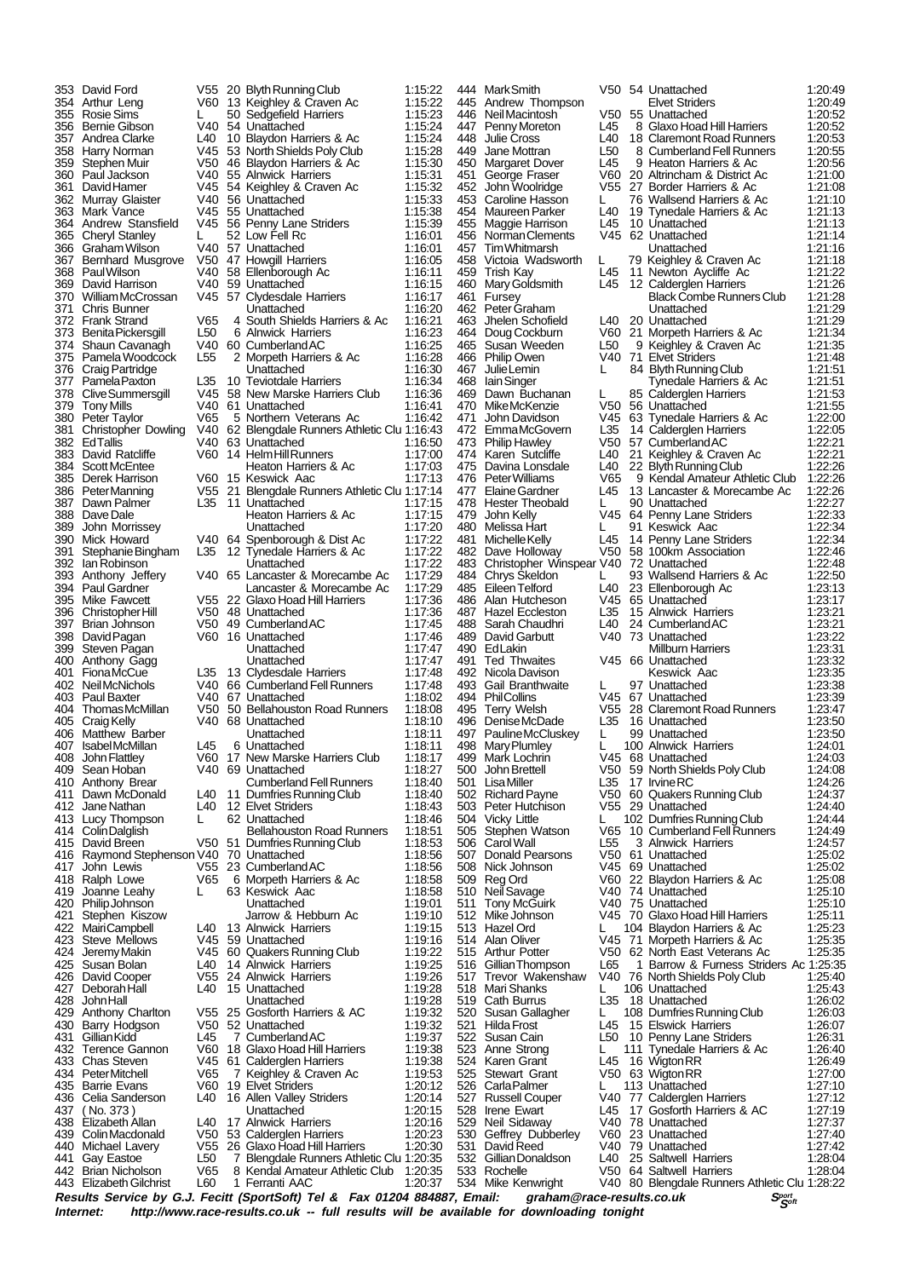|            | 353 David Ford                                 |                        | V55 20 Blyth Running Club                               | 1:15:22            |
|------------|------------------------------------------------|------------------------|---------------------------------------------------------|--------------------|
|            | 354 Arthur Leng<br>355 Rosie Sims              | V60.<br>L.             | 13 Keighley & Craven Ac<br>50 Sedgefield Harriers       | 1:15:22<br>1:15:23 |
|            | 356 Bernie Gibson                              |                        | V40 54 Unattached                                       | 1:15.24            |
|            | 357 Andrea Clarke<br>358 Harry Norman          | L40<br>V45             | 10 Blaydon Harriers & Ac<br>53 North Shields Poly Club  | 1:15:24<br>1:15:28 |
|            | 359 Stephen Muir                               |                        | V50 46 Blaydon Harriers & Ac                            | 1:15:30            |
|            | 360 Paul Jackson                               | V40 l                  | 55 Alnwick Harriers                                     | 1:15:31            |
|            | 361 David Hamer<br>362 Murray Glaister         | V45.<br>V40            | 54 Keighley & Craven Ac<br>56 Unattached                | 1:15:32<br>1:15:33 |
|            | 363 Mark Vance                                 | V45                    | 55 Unattached                                           | 1:15:38            |
|            | 364 Andrew Stansfield                          | V45                    | 56 Penny Lane Striders<br>52 Low Fell Rc                | 1:15:39            |
|            | 365 Cheryl Stanley<br>366 Graham Wilson        | L<br>V40 l             | 57 Unattached                                           | 1:16:01<br>1:16:01 |
|            | 367 Bernhard Musgrove                          | V50                    | 47 Howgill Harriers                                     | 1:16:05            |
|            | 368 Paul Wilson<br>369 David Harrison          | V40 l<br>V40 l         | 58 Ellenborough Ac<br>59 Unattached                     | 1:16:11<br>1:16:15 |
|            | 370 William McCrossan                          | V45                    | 57 Clydesdale Harriers                                  | 1:16:17            |
|            | 371 Chris Bunner                               |                        | Unattached                                              | 1:16:20            |
|            | 372 Frank Strand<br>373 Benita Pickersgill     | V65<br>L50             | 4 South Shields Harriers & Ac<br>6 Alnwick Harriers     | 1:16:21<br>1:16:23 |
|            | 374 Shaun Cavanagh                             | V40 l                  | 60 Cumberland AC                                        | 1:16:25            |
|            | 375 Pamela Woodcock                            | L55                    | 2 Morpeth Harriers & Ac                                 | 1:16:28            |
|            | 376 Craig Partridge<br>377 Pamela Paxton       | L35                    | Unattached<br>10 Teviotdale Harriers                    | 1:16:30<br>1:16:34 |
|            | 378 Clive Summersgill                          | V45                    | 58 New Marske Harriers Club                             | 1:16:36            |
|            | 379 Tony Mills<br>380 Peter Taylor             | V40 l<br>V65           | 61 Unattached<br>5 Northern Veterans Ac                 | 1:16:41<br>1:16:42 |
| 381        | <b>Christopher Dowling</b>                     | V40 l                  | 62 Blengdale Runners Athletic Clu 1:16:43               |                    |
|            | 382 EdTallis                                   | V40                    | 63 Unattached                                           | 1:16:50            |
|            | 383 David Ratcliffe<br>384 Scott McEntee       | V60                    | 14 Helm Hill Runners<br>Heaton Harriers & Ac            | 1:17:00<br>1:17:03 |
|            | 385 Derek Harrison                             | V60                    | 15 Keswick Aac                                          | 1:17:13            |
|            | 386 PeterManning                               | V55                    | 21 Blengdale Runners Athletic Clu 1:17:14               |                    |
|            | 387 Dawn Palmer<br>388 Dave Dale               | L35                    | 11 Unattached<br>Heaton Harriers & Ac                   | 1:17:15<br>1:17:15 |
|            | 389 John Morrissey                             |                        | Unattached                                              | 1:17:20            |
|            | 390 Mick Howard                                | V40                    | 64 Spenborough & Dist Ac                                | 1:17:22            |
| 391        | Stephanie Bingham<br>392 Ian Robinson          | L35                    | 12 Tynedale Harriers & Ac<br>Unattached                 | 1:17:22<br>1:17:22 |
|            | 393 Anthony Jeffery                            | V40                    | 65 Lancaster & Morecambe Ac                             | 1:17:29            |
|            | 394 Paul Gardner                               | V55                    | Lancaster & Morecambe Ac<br>22 Glaxo Hoad Hill Harriers | 1:17:29            |
|            | 395 Mike Fawcett<br>396 Christopher Hill       | V50                    | 48 Unattached                                           | 1:17:36<br>1:17:36 |
|            | 397 Brian Johnson                              | V50                    | 49 Cumberland AC                                        | 1:17:45            |
|            | 398 David Pagan<br>399 Steven Pagan            | V60                    | 16 Unattached<br>Unattached                             | 1:17:46<br>1:17:47 |
|            | 400 Anthony Gagg                               |                        | Unattached                                              | 1:17:47            |
|            | 401 FionaMcCue                                 | L35                    | 13 Clydesdale Harriers                                  | 1:17:48            |
|            | 402 Neil McNichols<br>403 Paul Baxter          | V40 l                  | 66 Cumberland Fell Runners<br>V40 67 Unattached         | 1:17:48<br>1:18:02 |
|            | 404 Thomas McMillan                            | V50                    | 50 Bellahouston Road Runners                            | 1:18:08            |
|            | 405 Craig Kelly<br>406 Matthew Barber          | V40.                   | 68 Unattached<br>Unattached                             | 1:18:10<br>1:18:11 |
|            | 407 IsabelMcMillan                             | L45                    | 6 Unattached                                            | 1:18:11            |
| 408        | <b>John Flattley</b>                           | V60                    | 17 New Marske Harriers Club                             | 1:18:17            |
| 409        | Sean Hoban<br>410 Anthony Brear                | V40                    | 69 Unattached<br><b>Cumberland Fell Runners</b>         | 1:18:27<br>1:18:40 |
| 411        | Dawn McDonald                                  | L40                    | 11 Dumfries Running Club                                | 1:18:40            |
|            | 412 Jane Nathan                                | L40                    | 12 Elvet Striders                                       | 1:18:43            |
|            | 413 Lucy Thompson<br>414 Colin Dalglish        | L.                     | 62 Unattached<br><b>Bellahouston Road Runners</b>       | 1:18:46<br>1:18:51 |
|            | 415 David Breen                                | V50                    | 51 Dumfries Running Club                                | 1:18:53            |
| 416<br>417 | Raymond Stephenson V40                         |                        | 70 Unattached                                           | 1:18:56            |
|            | John Lewis<br>418 Ralph Lowe                   | V55 I<br>V65           | 23 Cumberland AC<br>6 Morpeth Harriers & Ac             | 1:18:56<br>1:18:58 |
| 419        | Joanne Leahy                                   | L                      | 63 Keswick Aac                                          | 1:18:58            |
| 421        | 420 Philip Johnson<br>Stephen Kiszow           |                        | Unattached<br>Jarrow & Hebburn Ac                       | 1:19:01<br>1:19:10 |
|            | 422 MairiCampbell                              | L40                    | 13 Alnwick Harriers                                     | 1:19:15            |
|            | 423 Steve Mellows                              | V45                    | 59 Unattached                                           | 1:19:16            |
|            | 424 Jeremy Makin<br>425 Susan Bolan            | V45<br>L40             | 60 Quakers Running Club<br>14 Alnwick Harriers          | 1:19:22<br>1:19:25 |
|            | 426 David Cooper                               | V55.                   | 24 Alnwick Harriers                                     | 1:19.26            |
| 427        | Deborah Hall                                   | L40                    | 15 Unattached                                           | 1:19:28            |
| 428        | John Hall<br>429 Anthony Charlton              | V55                    | Unattached<br>25 Gosforth Harriers & AC                 | 1:19:28<br>1:19:32 |
|            | 430 Barry Hodgson                              | V50                    | 52 Unattached                                           | 1:19:32            |
| 431        | Gillian Kidd<br>432 Terence Gannon             | L45<br>V60             | 7 Cumberland AC<br>18 Glaxo Hoad Hill Harriers          | 1:19:37            |
|            | 433 Chas Steven                                | V45                    | 61 Calderglen Harriers                                  | 1:19:38<br>1:19:38 |
|            | 434 PeterMitchell                              | V65                    | 7 Keighley & Craven Ac                                  | 1:19:53            |
| 436        | 435 Barrie Evans<br>Celia Sanderson            | V60<br>L40             | 19 Elvet Striders<br>16 Allen Valley Striders           | 1:20:12<br>1:20:14 |
| 437        | $($ No. 373 $)$                                |                        | Unattached                                              | 1:20:15            |
|            | 438 Elizabeth Allan                            | L40                    | 17 Alnwick Harriers                                     | 1:20:16            |
|            | 439 Colin Macdonald<br>440 Michael Lavery      | V50<br>V <sub>55</sub> | 53 Calderglen Harriers<br>26 Glaxo Hoad Hill Harriers   | 1:20:23<br>1:20:30 |
| 441        | Gay Eastoe                                     | L50                    | 7 Blengdale Runners Athletic Clu 1:20:35                |                    |
|            | 442 Brian Nicholson<br>443 Elizabeth Gilchrist | V65<br>L60             | 8 Kendal Amateur Athletic Club<br>1 Ferranti AAC        | 1:20:35<br>1:20:37 |
|            |                                                |                        |                                                         |                    |

|            | 444 MarkSmith                                                | V50                    | 54 Unattached                                                                                                                   | 1:20:49            |
|------------|--------------------------------------------------------------|------------------------|---------------------------------------------------------------------------------------------------------------------------------|--------------------|
| 445        | Andrew Thompson                                              |                        | <b>Elvet Striders</b>                                                                                                           | 1:20:49            |
| 446        | Neil Macintosh                                               | V <sub>50</sub>        | 55 Unattached                                                                                                                   | 1:20:52            |
| 447<br>448 | Penny Moreton<br><b>Julie Cross</b>                          | L45<br>L40             | 8 Glaxo Hoad Hill Harriers<br>18 Claremont Road Runners                                                                         | 1:20:52<br>1:20:53 |
| 449        | Jane Mottran                                                 | L <sub>50</sub>        | 8 Cumberland Fell Runners                                                                                                       | 1:20:55            |
| 450        | <b>Margaret Dover</b>                                        | L45                    | 9 Heaton Harriers & Ac                                                                                                          | 1:20:56            |
| 451        | George Fraser                                                | V60                    | 20 Altrincham & District Ac                                                                                                     | 1:21:00            |
| 452<br>453 | John Woolridge<br>Caroline Hasson                            | V55<br>L.              | 27 Border Harriers & Ac<br>76 Wallsend Harriers & Ac                                                                            | 1:21:08<br>1:21:10 |
| 454        | Maureen Parker                                               | L40                    | 19 Tynedale Harriers & Ac                                                                                                       | 1:21:13            |
| 455        | Maggie Harrison                                              | L45                    | 10 Unattached                                                                                                                   | 1:21:13            |
| 456<br>457 | Norman Clements<br><b>Tim Whitmarsh</b>                      | V45                    | 62 Unattached<br>Unattached                                                                                                     | 1:21:14<br>1:21:16 |
| 458        | Victoia Wadsworth                                            | L                      | 79 Keighley & Craven Ac                                                                                                         | 1:21:18            |
| 459        | Trish Kay                                                    | L45                    | 11 Newton Aycliffe Ac                                                                                                           | 1:21:22            |
| 460        | Mary Goldsmith                                               | L45                    | 12 Calderglen Harriers                                                                                                          | 1:21:26            |
| 461<br>462 | Fursey<br>Peter Graham                                       |                        | <b>Black Combe Runners Club</b><br>Unattached                                                                                   | 1.21.28<br>1:21:29 |
| 463        | Jhelen Schofield                                             | L40                    | 20 Unattached                                                                                                                   | 1:21:29            |
| 464        | Doug Cockburn                                                |                        | V60 21 Morpeth Harriers & Ac                                                                                                    | 1:21:34            |
| 465<br>466 | Susan Weeden<br><b>Philip Owen</b>                           | L <sub>50</sub><br>V40 | 9 Keighley & Craven Ac<br>71 Elvet Striders                                                                                     | 1:21:35<br>1:21:48 |
| 467        | Julie Lemin                                                  | L                      | 84 Blyth Running Club                                                                                                           | 1:21:51            |
| 468        | lain Singer                                                  |                        | Tynedale Harriers & Ac                                                                                                          | 1:21:51            |
|            | 469 Dawn Buchanan<br>470 MikeMcKenzie                        | L<br>V50               | 85 Calderglen Harriers<br>56 Unattached                                                                                         | 1:21:53<br>1:21:55 |
| 471        | John Davidson                                                | V45                    | 63 Tynedale Harriers & Ac                                                                                                       | 1:22:00            |
| 472        | EmmaMcGovern                                                 | L35                    | 14 Calderglen Harriers                                                                                                          | 1.22:05            |
| 473        | <b>Philip Hawley</b>                                         |                        | V50 57 Cumberland AC                                                                                                            | 1:22:21            |
| 474<br>475 | Karen Sutcliffe<br>Davina Lonsdale                           | L40<br>L40             | 21 Keighley & Craven Ac<br>22 Blyth Running Club                                                                                | 1:22:21<br>1:22:26 |
| 476        | Peter Williams                                               | V65                    | 9 Kendal Amateur Athletic Club                                                                                                  | 1:22:26            |
| 477        | Elaine Gardner                                               | L45                    | 13 Lancaster & Morecambe Ac                                                                                                     | 1:22:26            |
| 478<br>479 | <b>Hester Theobald</b>                                       | L<br>V45               | 90 Unattached<br>64 Penny Lane Striders                                                                                         | 1:22:27<br>1:22:33 |
| 480.       | John Kelly<br>Melissa Hart                                   | L                      | 91 Keswick Aac                                                                                                                  | 1:22:34            |
| 481        | Michelle Kelly                                               | L45                    | 14 Penny Lane Striders                                                                                                          | 1:22:34            |
| 482        | Dave Holloway                                                |                        | V50 58 100km Association                                                                                                        | 1:22:46            |
| 484        | 483 Christopher Winspear V40<br>Chrys Skeldon                | L                      | 72 Unattached<br>93 Wallsend Harriers & Ac                                                                                      | 1:22:48<br>1:22:50 |
| 485        | Eileen Telford                                               | L40                    | 23 Ellenborough Ac                                                                                                              | 1:23:13            |
| 486.       | Alan Hutcheson                                               |                        | V45 65 Unattached                                                                                                               | 1:23:17            |
|            | 487 Hazel Eccleston<br>488 Sarah Chaudhri                    | L35<br>L40             | 15 Alnwick Harriers<br>24 Cumberland AC                                                                                         | 1:23:21<br>1:23:21 |
|            | 489 David Garbutt                                            | V40                    | 73 Unattached                                                                                                                   | 1:23:22            |
| 490        | EdLakin                                                      |                        | <b>Millburn Harriers</b>                                                                                                        | 1.23:31            |
| 491        | <b>Ted Thwaites</b><br>492 Nicola Davison                    | V45                    | 66 Unattached<br>Keswick Aac                                                                                                    | 1:23:32<br>1:23:35 |
| 493        | <b>Gail Branthwaite</b>                                      | L.                     | 97 Unattached                                                                                                                   | 1:23:38            |
| 494        | PhilCollins                                                  | V45                    | 67 Unattached                                                                                                                   | 1:23:39            |
| 495<br>496 | Terry Welsh                                                  | L35                    | V55 28 Claremont Road Runners<br>16 Unattached                                                                                  | 1:23:47<br>1:23:50 |
| 497        | Denise McDade<br>Pauline McCluskey                           | L                      | 99 Unattached                                                                                                                   | 1:23:50            |
| 498        | Mary Plumley                                                 | L                      | 100 Alnwick Harriers                                                                                                            | 1:24:01            |
|            | 499 Mark Lochrin                                             |                        | V45 68 Unattached                                                                                                               | 1:24:03            |
|            | 500 John Brettell<br>501 LisaMiller                          |                        | V50 59 North Shields Poly Club<br>L35 17 IrvineRC                                                                               | 1.24.08<br>1:24:26 |
|            | 502 Richard Payne                                            |                        | V50 60 Quakers Running Club<br>V55 29 Unattached                                                                                | 1.24.37            |
|            | 503 Peter Hutchison                                          |                        |                                                                                                                                 | 1:24:40            |
| 504        | Vicky Little<br>505 Stephen Watson                           |                        | L 102 Dumfries Running Club<br>V65 10 Cumberland Fell Runners                                                                   | 1:24:44<br>1:24:49 |
| 506        | Carol Wall                                                   |                        | L55 3 Alnwick Harriers                                                                                                          | 1:24:57            |
|            | 507 Donald Pearsons                                          |                        | V50 61 Unattached                                                                                                               | 1:25:02            |
|            | 508 Nick Johnson                                             |                        |                                                                                                                                 | 1:25:02<br>1:25:08 |
| 509<br>510 | Reg Ord<br>Neil Savage                                       |                        |                                                                                                                                 | 1:25:10            |
| 511        | Tony McGuirk                                                 |                        |                                                                                                                                 | 1:25:10            |
|            | 512 Mike Johnson                                             |                        | V45 69 Unattached<br>V40 22 Blaydon Harriers & Ac<br>V40 74 Unattached<br>V40 75 Unattached<br>V45 70 Glaxid Hold Hill Harriers | 1:25:11            |
|            | 513 Hazel Ord<br>514 Alan Oliver                             |                        | L 104 Blaydon Harriers & Ac<br>V45 71 Morpeth Harriers & Ac                                                                     | 1:25:23<br>1:25:35 |
|            | 515 Arthur Potter                                            |                        | V50 62 North East Veterans Ac                                                                                                   | 1:25:35            |
|            | 516 GillianThompson<br>517 Trevor Wakenshaw                  |                        | L65 1 Barrow & Furness Striders Ac 1:25:35<br>V40 76 North Shields Poly Club 1:25:40                                            |                    |
|            | 518 Mari Shanks                                              |                        | L 106 Unattached                                                                                                                | 1:25:43            |
|            | 519 Cath Burrus                                              |                        | L35 18 Unattached                                                                                                               | 1:26:02            |
|            | 520 Susan Gallagher<br>521 Hilda Frost                       |                        | L 108 Dumfries Running Club                                                                                                     | 1.26.03            |
|            |                                                              |                        | L45 15 Elswick Harriers                                                                                                         | 1.26.07            |
|            | 522 Susan Cain<br>523 Anne Strong                            |                        | L50 10 Penny Lane Striders<br>L 111 Tynedale Harriers & Ac<br>L45 16 Wigton RR                                                  | 1:26:31<br>1:26:40 |
|            | 524 Karen Grant                                              |                        |                                                                                                                                 | 1:26:49            |
|            | 525 Stewart Grant<br>526 Carla Palmer<br>527 Russell Couper  |                        | V50 63 Wigton RR                                                                                                                | 1:27:00            |
|            |                                                              |                        | L 113 Unattached<br>V40 77 Calderglen Harriers                                                                                  | 1:27:10<br>1:27:12 |
|            | 528 Irene Ewart                                              |                        | L45 17 Gosforth Harriers & AC                                                                                                   | 1:27:19            |
|            | 529 Neil Sidaway                                             |                        | V40 78 Unattached<br>V60 23 Unattached                                                                                          | 1:27:37            |
|            | 529 INEIL Judaway<br>530 Geffrey Dubberley<br>531 David Reed |                        | V40 79 Unattached                                                                                                               | 1:27:40<br>1:27:42 |
|            | 532 Gillian Donaldson                                        |                        |                                                                                                                                 | 1:28:04            |
|            | 533 Rochelle                                                 |                        | L40 25 Saltwell Harriers<br>V50 64 Saltwell Harriers                                                                            | 1:28:04            |
|            |                                                              |                        |                                                                                                                                 |                    |

**<sup>S</sup>port <sup>S</sup> Results Service by G.J. Fecitt (SportSoft) Tel & Fax 01204 884887, Email: graham@race-results.co.uk oft** http://www.race-results.co.uk -- full results will be available for downloading tonight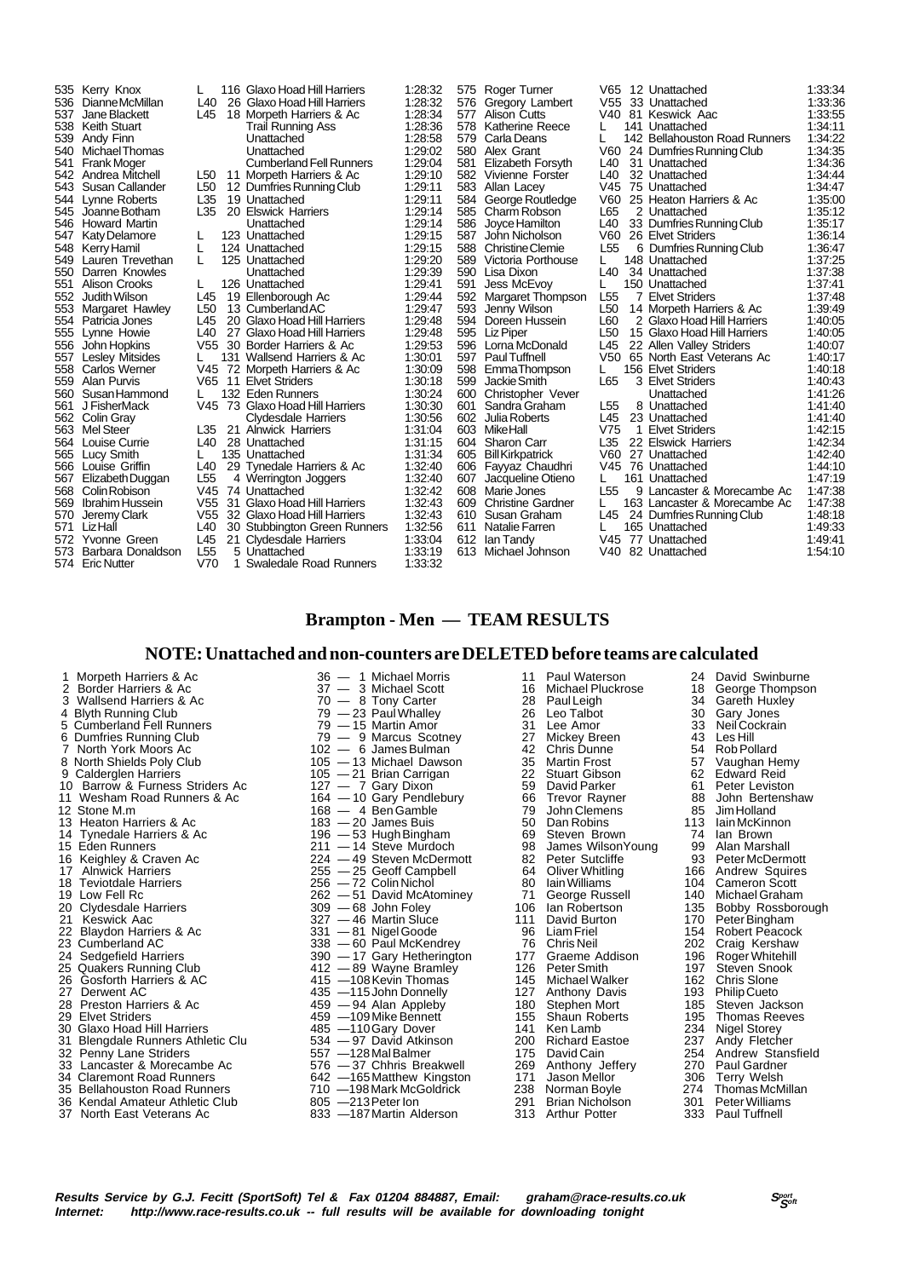|      | 535 Kerry Knox         |                 | 116 Glaxo Hoad Hill Harriers    | 1:28:32 |     | 575 Roger Turner         | V65             | 12 Unattached                 | 1:33:34 |
|------|------------------------|-----------------|---------------------------------|---------|-----|--------------------------|-----------------|-------------------------------|---------|
|      | 536 Dianne McMillan    | L40             | 26 Glaxo Hoad Hill Harriers     | 1:28:32 | 576 | Gregory Lambert          |                 | V55 33 Unattached             | 1:33:36 |
| 537  | Jane Blackett          | L45             | 18 Morpeth Harriers & Ac        | 1.28:34 | 577 | <b>Alison Cutts</b>      |                 | V40 81 Keswick Aac            | 1:33:55 |
| 538  | Keith Stuart           |                 | <b>Trail Running Ass</b>        | 1:28:36 | 578 | <b>Katherine Reece</b>   |                 | 141 Unattached                | 1:34:11 |
|      | 539 Andy Finn          |                 | Unattached                      | 1:28:58 | 579 | Carla Deans              |                 | 142 Bellahouston Road Runners | 1:34:22 |
| 540  | Michael Thomas         |                 | Unattached                      | 1:29:02 | 580 | Alex Grant               | V60             | 24 Dumfries Running Club      | 1:34:35 |
| 541  | <b>Frank Moger</b>     |                 | <b>Cumberland Fell Runners</b>  | 1.29:04 | 581 | Elizabeth Forsyth        | L40             | 31 Unattached                 | 1:34:36 |
| 542  | Andrea Mitchell        | L50             | 11 Morpeth Harriers & Ac        | 1:29:10 |     | 582 Vivienne Forster     | L40             | 32 Unattached                 | 1:34:44 |
|      | 543 Susan Callander    | L <sub>50</sub> | 12 Dumfries Running Club        | 1.29.11 | 583 | Allan Lacey              | V45             | 75 Unattached                 | 1:34:47 |
|      | 544 Lynne Roberts      | L35             | 19 Unattached                   | 1.29.11 | 584 | George Routledge         | V60             | 25 Heaton Harriers & Ac       | 1.35.00 |
|      | 545 Joanne Botham      | L35             | 20 Elswick Harriers             | 1:29:14 |     | 585 Charm Robson         | L65             | 2 Unattached                  | 1:35:12 |
|      | 546 Howard Martin      |                 | Unattached                      | 1:29:14 | 586 | Joyce Hamilton           | L40             | 33 Dumfries Running Club      | 1:35:17 |
| 547  | Katy Delamore          |                 | 123 Unattached                  | 1:29:15 | 587 | John Nicholson           | V60             | 26 Elvet Striders             | 1:36:14 |
|      | 548 Kerry Hamil        | L               | 124 Unattached                  | 1:29:15 | 588 | <b>Christine Clemie</b>  | L <sub>55</sub> | 6 Dumfries Running Club       | 1.36.47 |
|      | 549 Lauren Trevethan   |                 | 125 Unattached                  | 1.29.20 | 589 | Victoria Porthouse       |                 | 148 Unattached                | 1:37:25 |
| 550  | Darren Knowles         |                 | Unattached                      | 1:29:39 | 590 | Lisa Dixon               | L40             | 34 Unattached                 | 1.37:38 |
| 551  | Alison Crooks          |                 | 126 Unattached                  | 1:29:41 | 591 | Jess McEvoy              |                 | 150 Unattached                | 1:37:41 |
| 552  | Judith Wilson          | L45             | 19 Ellenborough Ac              | 1.29:44 | 592 | Margaret Thompson        | L <sub>55</sub> | 7 Elvet Striders              | 1:37:48 |
|      | 553 Margaret Hawley    | L <sub>50</sub> | 13 Cumberland AC                | 1.29.47 | 593 | Jenny Wilson             | L <sub>50</sub> | 14 Morpeth Harriers & Ac      | 1:39:49 |
|      | 554 Patricia Jones     | L45             | 20 Glaxo Hoad Hill Harriers     | 1:29:48 | 594 | Doreen Hussein           | L60             | 2 Glaxo Hoad Hill Harriers    | 1:40:05 |
|      | 555 Lynne Howie        | L40             | 27 Glaxo Hoad Hill Harriers     | 1:29:48 |     | 595 Liz Piper            | L <sub>50</sub> | 15 Glaxo Hoad Hill Harriers   | 1:40:05 |
| 556  | John Hopkins           | V55             | 30 Border Harriers & Ac         | 1:29:53 |     | 596 Lorna McDonald       | L45             | 22 Allen Valley Striders      | 1:40:07 |
| 557  | <b>Lesley Mitsides</b> |                 | 131 Wallsend Harriers & Ac      | 1:30:01 | 597 | <b>Paul Tuffnell</b>     | V50             | 65 North East Veterans Ac     | 1:40:17 |
|      | 558 Carlos Werner      |                 | V45 72 Morpeth Harriers & Ac    | 1:30:09 | 598 | EmmaThompson             |                 | 156 Elvet Striders            | 1:40:18 |
|      | 559 Alan Purvis        |                 | V65 11 Elvet Striders           | 1:30:18 | 599 | Jackie Smith             | L65             | 3 Elvet Striders              | 1:40:43 |
| 560  | Susan Hammond          |                 | 132 Eden Runners                | 1:30:24 | 600 | Christopher Vever        |                 | Unattached                    | 1:41:26 |
| 561  | J FisherMack           |                 | V45 73 Glaxo Hoad Hill Harriers | 1:30:30 | 601 | Sandra Graham            | L <sub>55</sub> | 8 Unattached                  | 1:41:40 |
|      | 562 Colin Gray         |                 | Clydesdale Harriers             | 1:30:56 | 602 | Julia Roberts            | L45             | 23 Unattached                 | 1.41.40 |
|      | 563 Mel Steer          | L35             | 21 Alnwick Harriers             | 1:31:04 |     | 603 MikeHall             | V75             | 1 Elvet Striders              | 1:42:15 |
|      | 564 Louise Currie      | L40             | 28 Unattached                   | 1:31:15 | 604 | <b>Sharon Carr</b>       | L35             | 22 Elswick Harriers           | 1:42:34 |
|      | 565 Lucy Smith         |                 | 135 Unattached                  | 1:31:34 | 605 | <b>Bill Kirkpatrick</b>  | V60             | 27 Unattached                 | 1:42:40 |
|      | 566 Louise Griffin     | L40             | 29 Tynedale Harriers & Ac       | 1:32:40 |     | 606 Fayyaz Chaudhri      | V45             | 76 Unattached                 | 1:44:10 |
| 567  | Elizabeth Duggan       | L <sub>55</sub> | 4 Werrington Joggers            | 1:32:40 | 607 | Jacqueline Otieno        |                 | 161 Unattached                | 1:47:19 |
|      | 568 Colin Robison      | V <sub>45</sub> | 74 Unattached                   | 1:32:42 |     | 608 Marie Jones          | L <sub>55</sub> | 9 Lancaster & Morecambe Ac    | 1:47:38 |
| 569  | <b>Ibrahim Hussein</b> | V <sub>55</sub> | 31 Glaxo Hoad Hill Harriers     | 1:32:43 | 609 | <b>Christine Gardner</b> |                 | 163 Lancaster & Morecambe Ac  | 1:47:38 |
| 570  | Jeremy Clark           | V55             | 32 Glaxo Hoad Hill Harriers     | 1:32:43 |     | 610 Susan Graham         | L45             | 24 Dumfries Running Club      | 1:48:18 |
| 571  | LizHall                | L40             | 30 Stubbington Green Runners    | 1:32:56 | 611 | Natalie Farren           |                 | 165 Unattached                | 1:49:33 |
| 572  | Yvonne Green           | L45             | 21 Clydesdale Harriers          | 1.33.04 | 612 | lan Tandy                |                 | V45 77 Unattached             | 1:49:41 |
| 573. | Barbara Donaldson      | L <sub>55</sub> | 5 Unattached                    | 1:33:19 | 613 | Michael Johnson          | V40             | 82 Unattached                 | 1:54:10 |
|      | 574 Eric Nutter        | V70             | Swaledale Road Runners          | 1:33:32 |     |                          |                 |                               |         |
|      |                        |                 |                                 |         |     |                          |                 |                               |         |

#### **Brampton - Men — TEAM RESULTS**

#### **NOTE: Unattached and non-counters are DELETED before teams are calculated**

2 Border Harriers & Ac 37 — 3 Michael Scott 16 Michael Pluckrose 18 George Thomp<br>3 Wallsend Harriers & Ac 3 70 — 8 Tony Carter 28 Paul Leigh 34 Gareth Huxley<br>4 Blyth Running Club 79 — 23 Paul Whalley 26 Leo Talbot 30 Gary 3 Wallsend Harriers & Ac 70 — 8 Tony Carter 28 Paul Leigh 34 Gareth Huxley 4 Blyth Running Club 79 — 23 Paul Whalley 26 Leo Talbot 30 Gary Jones 5 Cumberland Fell Runners 79 — 15 Martin Amor 31 Lee Amor 33 Neil Cockrain 6 Dumfries Running Club 79 — 9 Marcus Scotney 27 Mickey Breen 43 Les Hill 7 North York Moors Ac 102 — 6 James Bulman 142 Chris Dunne 154 Rob Pollard<br>105 - 13 Michael Dawson 135 Martin Frost 57 Vaughan Hemy 9 Calderglen Harriers 105 — 21 Brian Carrigan 22 Stuart Gibson 62 Edward Reid 10 Barrow & Furness Striders Ac 127 — 7 Gary Dixon 59 David Parker 61 Peter Leviston 11 Wesham Road Runners & Ac 164 — 10 Gary Pendlebury 66 Trevor Rayner 88 John Bertenshaw<br>12 Stone M.m 168 — 168 — 4 Ben Gamble 79 John Clemens 85 Jim Holland 13 Heaton Harriers & Ac 183 — 20 James Buis 150 Dan Robins 113 Iain McKinn<br>14 Tynedale Harriers & Ac 196 — 53 Hugh Bingham 169 Steven Brown 74 Ian Brown 14 Tynedale Harriers & Ac 196 — 53 Hugh Bingham 69 Steven Brown 74 Ian Brown<br>15 Eden Runners 2001 - 14 Steve Murdoch 98 James Wilson Young 99 Alan Marshall<br>16 Keighley & Craven Ac 224 — 49 Steven McDermott 82 Peter Sutclif 15 Eden Runners 211 — 14 Steve Murdoch 98 James WilsonYoung 99 Alan Marshall 16 Keighley & Craven Ac 224 — 49 Steven McDermott 82 Peter Sutcliffe 93 Peter McDermott 16 Keighley & Craven Ac **224 — 49 Steven McDermott** and a Peter Sutcliffe and the set of the McDermott<br>17 Alnwick Harriers 255 — 25 Geoff Campbell 64 Oliver Whitling 166 Andrew Squires<br>18 Teviotdale Harriers 256 — 72 Colin 18 Teviotdale Harriers 256 — 72 Colin Nichol 80 Iain Williams 104 Cameron Scott 19 Low Fell Rc 262 — 51 David McAtominey 71 George Russell 140 Michael Graham 20 Clydesdale Harriers 200 — 68 John Foley 106 Ian Robertson 135 Bobby Rossborough<br>21 Keswick Aac 200 - 327 - 46 Martin Sluce 111 David Burton 170 Peter Bingham 21 Keswick Aac 327 — 46 Martin Sluce 111 David Burton 170 Peter Bingham 22 Blaydon Harriers & Ac 331 — 81 Nigel Goode 111 David Burton 170 Peter Bingham<br>22 Blaydon Harriers & Ac 331 — 81 Nigel Goode 96 Liam Friel 154 Robert Peacock<br>23 Cumberland AC 338 — 60 Paul McKendrey 76 Chris Neil 202 Cra 23 Cumberland AC 338 - 60 Paul McKendrey 76 Chris Neil 202 Craig Kershaw<br>24 Sedgefield Harriers 390 - 17 Gary Hetherington 177 Graeme Addison 196 Roger Whitehill<br>25 Quakers Running Club 412 - 89 Wayne Bramley 126 Peter Smi 24 Sedgefield Harriers 390 — 17 Gary Hetherington 177 Graeme Addison 196 Roger Whitehill 25 Quakers Running Club 412 — 89 Wayne Bramley 126 Peter Smith 197 Steven Snook 26 Gosforth Harriers & AC 415 —108 Kevin Thomas 145 Michael Walker 162 Chris Slone<br>27 Derwent AC 435 —115 John Donnelly 127 Anthony Davis 193 Philip Cueto<br>28 Preston Harriers & Ac 459 — 94 Alan Appleby 180 Stephen Mort 185 27 Derwent AC 435 —115John Donnelly 127 Anthony Davis 193 Philip Cueto 28 Preston Harriers & Ac 459 — 94 Alan Appleby 180 Stephen Mort 185 Steven Jackson 29 Elvet Striders 459 —109Mike Bennett 155 Shaun Roberts 195 Thomas Reeves 30 Glaxo Hoad Hill Harriers **485** —110 Gary Dover 141 Ken Lamb 234 Nigel Storey<br>31 Blengdale Runners Athletic Clu 534 —97 David Atkinson 200 Richard Eastoe 237 Andy Fletcher 31 Blengdale Runners Athletic Clu 534 — 97 David Atkinson 200 Richard Eastoe 237 Andy Fletcher 33 Lancaster & Morecambe Ac 576 — 37 Chhris Breakwell 269 Anthony Jeffery 270 Paul Gardner 34 Claremont Road Runners 642 —165Matthew Kingston 171 Jason Mellor 306 Terry Welsh 35 Bellahouston Road Runners 2710 —198 Mark McGoldrick 238 Norman Boyle 274 Thomas McMillan<br>36 Kendal Amateur Athletic Club 201 —198 Mark McGoldrick 238 Norman Boyle 274 Thomas McMillan<br>37 North East Veterans Ac 233 —187 M 36 Kendal Amateur Athletic Club 805 —213Peter Ion 291 Brian Nicholson 301 Peter Williams 37 North East Veterans Ac 833 —187Martin Alderson 313 Arthur Potter 333 Paul Tuffnell

| 1 Morpeth Harriers & Ac               | 36 - 1 Michael Morris      | 11  | Paul Waterson          | 24  | David Swinburne       |
|---------------------------------------|----------------------------|-----|------------------------|-----|-----------------------|
| 2 Border Harriers & Ac                | 37 - 3 Michael Scott       | 16  | Michael Pluckrose      | 18  | George Thompson       |
| 3 Wallsend Harriers & Ac              | $70 - 8$ Tony Carter       | 28  | Paul Leigh             | 34  | Gareth Huxley         |
| 4 Blyth Running Club                  | 79 - 23 Paul Whalley       | 26  | Leo Talbot             | 30  | Gary Jones            |
| 5 Cumberland Fell Runners             | 79 - 15 Martin Amor        | 31  | Lee Amor               | 33  | Neil Cockrain         |
| 6 Dumfries Running Club               | 79 - 9 Marcus Scotney      | 27  | Mickey Breen           | 43  | Les Hill              |
| 7 North York Moors Ac                 | 102 - 6 James Bulman       | 42  | Chris Dunne            | 54  | Rob Pollard           |
| 8 North Shields Poly Club             | 105 - 13 Michael Dawson    | 35  | Martin Frost           | 57  | Vaughan Hemy          |
| 9 Calderglen Harriers                 | 105 - 21 Brian Carrigan    | 22  | Stuart Gibson          |     | 62 Edward Reid        |
| 10 Barrow & Furness Striders Ac       | 127 - 7 Gary Dixon         | 59  | David Parker           |     | 61 Peter Leviston     |
| 11 Wesham Road Runners & Ac           | 164 - 10 Gary Pendlebury   | 66  | Trevor Rayner          | 88  | John Bertenshaw       |
| 2 Stone M.m                           | $168 - 4$ Ben Gamble       | 79  | John Clemens           |     | 85 Jim Holland        |
| 3 Heaton Harriers & Ac                | $183 - 20$ James Buis      | 50  | Dan Robins             | 113 | lain McKinnon         |
| 14 Tynedale Harriers & Ac             | 196 - 53 Hugh Bingham      | 69  | Steven Brown           | 74  | lan Brown             |
| <b>15 Eden Runners</b>                | 211 - 14 Steve Murdoch     | 98  | James WilsonYoung      | 99  | Alan Marshall         |
| 16 Keighley & Craven Ac               | 224 - 49 Steven McDermott  | 82  | Peter Sutcliffe        |     | 93 Peter McDermott    |
| 17 Alnwick Harriers                   | 255 - 25 Geoff Campbell    | 64  | Oliver Whitling        |     | 166 Andrew Squires    |
| 18 Teviotdale Harriers                | $256 - 72$ Colin Nichol    | 80  | Iain Williams          | 104 | <b>Cameron Scott</b>  |
| 19 Low Fell Rc                        | 262 - 51 David McAtominey  | 71  | George Russell         |     | 140 Michael Graham    |
| 20 Clydesdale Harriers                | $309 - 68$ John Foley      | 106 | lan Robertson          | 135 | Bobby Rossborou       |
| 21.<br>Keswick Aac                    | 327 - 46 Martin Sluce      | 111 | David Burton           | 170 | Peter Bingham         |
| 22 Blaydon Harriers & Ac              | $331 - 81$ Nigel Goode     | 96  | Liam Friel             | 154 | <b>Robert Peacock</b> |
| 23 Cumberland AC                      | 338 - 60 Paul McKendrey    | 76  | Chris Neil             | 202 | Craig Kershaw         |
| 24 Sedgefield Harriers                | 390 - 17 Gary Hetherington | 177 | Graeme Addison         | 196 | Roger Whitehill       |
| 25 Quakers Running Club               | $412 - 89$ Wayne Bramley   | 126 | Peter Smith            | 197 | Steven Snook          |
| 26 Gosforth Harriers & AC             | 415 -108 Kevin Thomas      | 145 | Michael Walker         | 162 | <b>Chris Slone</b>    |
| 27.<br>Derwent AC                     | 435 -115 John Donnelly     | 127 | Anthony Davis          | 193 | <b>Philip Cueto</b>   |
| 28 Preston Harriers & Ac              | $459 - 94$ Alan Appleby    | 180 | Stephen Mort           | 185 | Steven Jackson        |
| 29 Elvet Striders                     | 459 -109 Mike Bennett      | 155 | <b>Shaun Roberts</b>   | 195 | <b>Thomas Reeves</b>  |
| 30 Glaxo Hoad Hill Harriers           | 485 - 110 Gary Dover       | 141 | Ken Lamb               | 234 | Nigel Storey          |
| Blengdale Runners Athletic Clu<br>31. | 534 - 97 David Atkinson    | 200 | <b>Richard Eastoe</b>  | 237 | Andy Fletcher         |
| 32 Penny Lane Striders                | 557 -128 Mal Balmer        | 175 | David Cain             | 254 | Andrew Stansfield     |
| 33 Lancaster & Morecambe Ac           | 576 - 37 Chhris Breakwell  | 269 | Anthony Jeffery        | 270 | Paul Gardner          |
| 34 Claremont Road Runners             | 642 - 165 Matthew Kingston | 171 | Jason Mellor           | 306 | Terry Welsh           |
| 35 Bellahouston Road Runners          | 710 -198 Mark McGoldrick   | 238 | Norman Boyle           | 274 | Thomas McMillan       |
| 36 Kendal Amateur Athletic Club       | $805 -213$ Peter Ion       | 291 | <b>Brian Nicholson</b> | 301 | Peter Williams        |
|                                       |                            |     |                        |     |                       |

- 
- **Results Service by G.J. Fecitt (SportSoft) Tel & Fax 01204 884887, Email: graham@race-results.co.uk Sport by Sport<br>Internet: http://www.race-results.co.uk -- full results will be available for downloading tonight Internet: http://www.race-results.co.uk -- full results will be available for downloading tonight**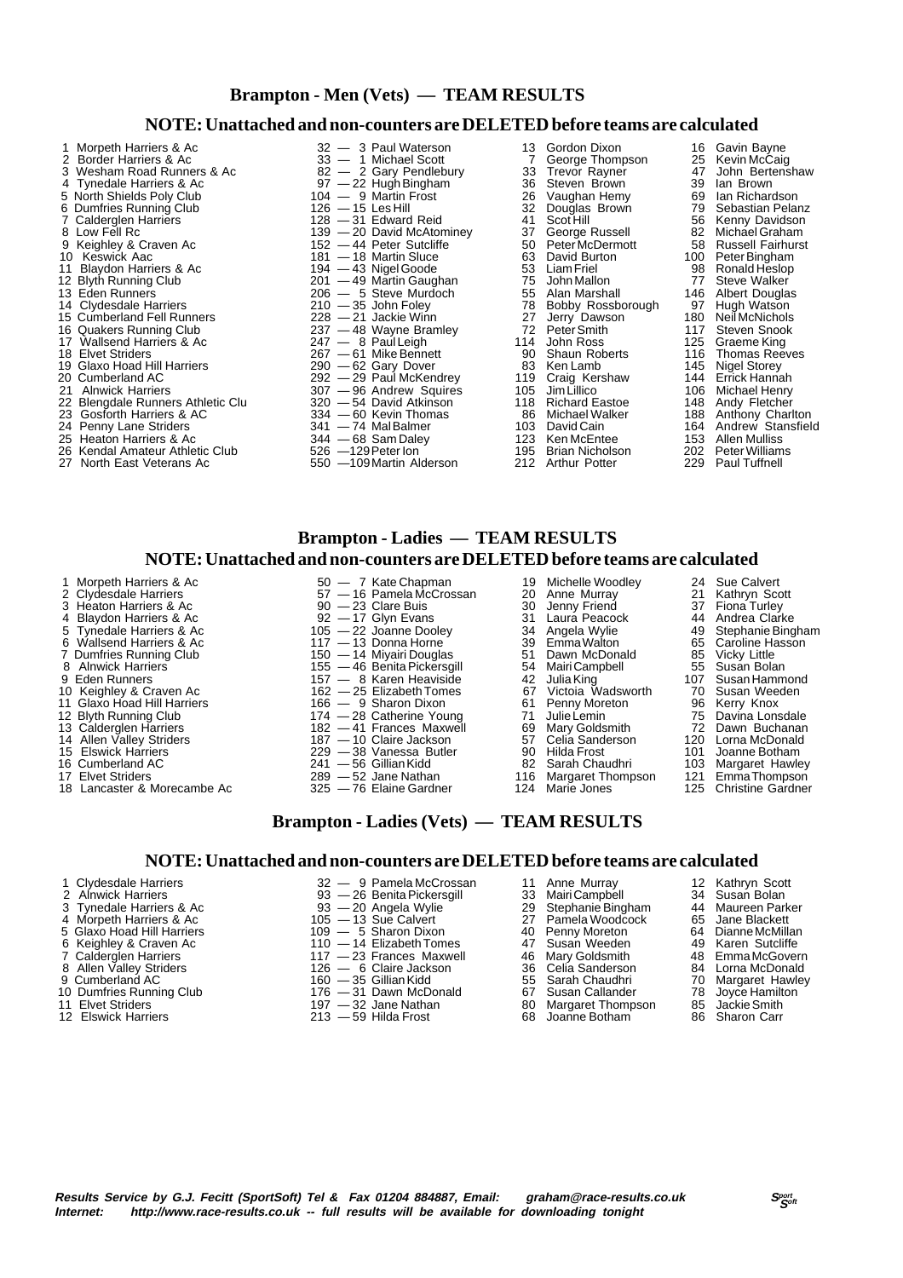### **Brampton - Men (Vets) — TEAM RESULTS**

#### **NOTE: Unattached and non-counters are DELETED before teams are calculated**

- 2 Border Harriers & Ac 33 1 Michael Scott 7 George Thompson 25 Kevin McCaig<br>
3 Wesham Road Runners & Ac 32 2 Gary Pendlebury 33 Trevor Rayner 47 John Bertenshaw<br>
4 Tynedale Harriers & Ac 37 22 Hugh Bingham 36 Steven Vesham Road Runners & Ac  $\begin{array}{ccc} 82-\ 2 \end{array}$  Gary Pendlebury  $\begin{array}{ccc} 33 & \text{Trevor Rayner} & 47 & \text{John Bert} \\ 36 & \text{Steven Brown} & 39 & \text{Jan Brown} \end{array}$ 4 Tynedale Harriers & Ac 97 — 22 Hugh Bingham 36 Steven Brown 39 Ian Brown 39 Ian Brown<br>5 North Shields Poly Club 30 104 — 9 Martin Frost 26 Vaughan Hemy 69 Ian Richardson 5 North Shields Poly Club 104 — 9 Martin Frost 26 Vaughan Hemy 69 Ian Richardson Examples Running Club 126 — 15 Les Hill 32 Douglas Brown 79 Sebastian Pelanz<br>Calderglen Harriers 128 — 31 Edward Reid 41 Scot Hill 56 Kenny Davidson 7 Calderglen Harriers 128 — 31 Edward Reid 128 - 31 Edward Reid 128 - 41 Scot Hill 56 Kenny Davidson<br>128 - 20 David McAtominey 139 - 37 George Russell 189 Michael Graham<br>128 - 44 Peter Sutcliffe 19 50 Peter McDermott 158 R 8 Low Fell Rc 139 — 20 David McAtominey 37 George Russell 82 Michael Graham<br>9 Keighley & Craven Ac 152 — 44 Peter Sutcliffe 50 Peter McDermott 58 Russell Fairhurst 9 Keighley & Craven Ac 152 — 44 Peter Sutcliffe 50 Peter McDermott 58 Russell Fairhurst 10 Keswick Aac 181 — 181 — 18 Martin Sluce 63 David Burton 100 Peter Bingham 11 Blaydon Harriers & Ac 194 — 43 Nigel Goode 53 Liam Friel 1988 Ronald Heslop<br>12 Blyth Running Club 201 — 49 Martin Gaughan 75 John Mallon 77 Steve Walker<br>13 Eden Runners 206 — 5 Steve Murdoch 55 Alan Marshall 146 Albert 12 Blyth Running Club 201 — 49 Martin Gaughan 205 John Mallon 201 – 77<br>13 Eden Runners 206 — 5 Steve Murdoch 255 Alan Marshall 2146 14 Clydesdale Harriers **210** — 210 — 35 John Foley **78 Bobby Rossborough** 97 Hugh Watson<br>15 Cumberland Fell Runners 228 — 21 Jackie Winn 27 Jerry Dawson 180 Neil McNichols<br>16 Quakers Running Club 237 — 48 Wavne Bramlev 72 15 Cumberland Fell Runners 228 — 21 Jackie Winn 27 Jerry Dawson 180 Neil McNichols 16 Cumberland Fell Runners<br>
16 Quakers Running Club 237 -48 Wayne Bramley 27 Jerry Dawson<br>
16 Quakers Running Club 237 -48 Wayne Bramley 27 Peter Smith 117 Steven Snook<br>
17 Wallsend Harriers & Ac 247 - 8 Paul Leigh 114 Joh 17 Wallsend Harriers & Ac 247 — 8 Paul Leigh 114 John Ross 125 Graeme King<br>18 Elvet Striders 125 Graeme King 267 — 61 Mike Bennett 190 Shaun Roberts 116 Thomas Reeves 18 Elvet Striders 267 — 267 — 61 Mike Bennett 190 Shaun Roberts 116 Thomas Reevesting 267 — 61 Mike Bennett 190 Shaun Roberts 116 Thomas Ree<br>19 Glaxo Hoad Hill Harriers 290 — 62 Gary Dover 83 Ken Lamb 145 Nigel Storey 19 Glaxo Hoad Hill Harriers **290** — 62 Gary Dover **83** Ken Lamb 145 Nigel Storey<br>20 Cumberland AC 292 — 29 Paul McKendrey 119 Craig Kershaw 144 Errick Hannah 20 Cumberland AC 202 — 29 Paul McKendrey 2119 Craig Kershaw 144 Errick Hannah<br>21 Alnwick Harriers 207 — 29 Andrew Squires 21 Alnwick Harriers 21 Alnwick Harriers 207 — 96 Andrew Squires 20 22 Blengdale Runners Athletic Clu 320 — 54 David Atkinson 118 Richard Eastoe 148 Andy Fletcher 23 Gosforth Harriers & AC 334 — 60 Kevin Thomas 86 Michael Walker 188 Anthony Charlton
- 
- 
- 
- 
- 

1 Morpeth Harriers & Ac 3 and 32 — 3 Paul Waterson 13 Gordon Dixon 16 Gavin Bayne<br>2 Border Harriers & Ac 33 — 1 Michael Scott 7 George Thompson 25 Kevin McCaig 13 Eden Runners 206 — 5 Steve Murdoch 55 Alan Marshall 146 Albert Douglas 2021 — 96 Andrew Squires 105<br>
220 — 54 David Atkinson 118<br>
334 — 60 Kevin Thomas 86

22 Blengdale Runners Athletic Clu  $320 - 54$  David Atkinson<br>
23 Gosforth Harriers & AC  $341 - 74$  Mal Balmer 103 David Cain 164 Andrew Stansfield<br>
25 Heaton Harriers & Ac  $344 - 68$  Sam Daley 123 Ken McEntee 153 Allen Mullis 25 Heaton Harriers & Ac 344 — 68 Sam Daley 123 Ken McEntee 153 Allen Mulliss<br>26 Kendal Amateur Athletic Club 526 — 129 Peter Ion 195 Brian Nicholson 202 Peter Williams 26 Kendal Amateur Athletic Club 526 —129 Peter Ion 195 Brian Nicholson 202 Peter William<br>19 Morth East Veterans Ac 1950 —109 Martin Alderson 212 Arthur Potter 229 Paul Tuffnell

# **Brampton - Ladies — TEAM RESULTS**

#### **NOTE: Unattached and non-counters are DELETED before teams are calculated**

- 1 Morpeth Harriers & Ac  $50 7$  Kate Chapman 19 Michelle Woodley 24 Sue Calvert
- 2 Clydesdale Harriers 57 16 Pamela McCrossan 20 Anne Murray 21 Kathryn Scott
- 
- 
- 5 Tynedale Harriers & Ac 105 22 Joanne Dooley 34 Angela Wylie 49 Stephanie Bingham
- Forma Wallsend Harriers & Ac 117 13 Donna Horne 39 Emma Walton 65 Caroline Hassen Mallsend Harriers & Ac 117 13 Donna Horne 39 Emma Walton 65 Caroline Hassen
- 7 Dumfries Running Club 150 14 Miyairi Douglas 51 Dawn McDonald 185 Vicky Little<br>155 46 Benita Pickersgill 154 Mairi Campbell 155 Susan Bolan
- 
- 107 Susan Hammun Control Control of the Craven Account 162 25 Elizabeth Tomes 67 Victoia Wadsworth 70 Susan Weeden<br>10 Keighley & Craven Ac 162 25 Elizabeth Tomes 67 Victoia Wadsworth 70 Susan Weeden<br>11 Glaxo Hoad Hill
- 
- 
- 
- 
- 
- 
- 
- 

3 Heaton Harriers & Ac 90 — 23 Clare Buis 30 Jenny Friend 37 Fiona Turley 4 Blaydon Harriers & Ac 92 — 17 Glyn Evans 31 Laura Peacock 44 Andrea Clarke

550 - 109 Martin Alderson

- 
- 
- 
- 
- 8 Alnwick Harriers 155 46 Benita Pickersgill 54 Mairi Campbell 55 Susan Bolan 9 Eden Runners 157 — 8 Karen Heaviside 42 Julia King 107 Susan Hammond
- 
- 11 166 9 Sharon Dixon 61 Penny Moreton 96 Kerry Knox<br>174 28 Catherine Young 71 Julie Lemin 75 Davina Lonsdale<br>182 41 Frances Maxwell 69 Mary Goldsmith 72 Dawn Buchanan
- 12 Blyth Running Club 174 28 Catherine Young 71 Julie Lemin 75 Davina Lonsdale 12 Blyth Running Club<br>
13 Calderglen Harriers 182 — 41 Frances Maxwell 69 Mary Goldsmith 72 Dawn Buchanan<br>
14 Allen Valley Striders 187 — 10 Claire Jackson 57 Celia Sanderson 120 Lorna McDonald
- 14 Allen Valley Striders 187 10 Claire Jackson 187 10 Claire Jackson 187 10 Claire Jackson 187 10 Claire Jackson 187 Celia Sanderson 120 Lorna McDonald<br>15 Elswick Harriers 120 Lorna McDonald<br>16 Cumberland AC 1241
	-
- 15 Elswick Harriers 229 38 Vanessa Butler 90 Hilda Frost 101 Joanne Botham 16 Cumberland AC 241 56 Gillian Kidd 82 Sarah Chaudhri 103 Margaret Hawley
	-
	- 124 Lancaster & Morecambe Ac 325 76 Elaine Gardner 124
- 
- 
- 
- 
- 
- 
- 
- 
- 
- 
- 
- 
- 
- 
- 
- 
- 
- 
- 
- 17 Elvet Striders **289 52 Jane Nathan** 116 Margaret Thompson 121 Emma Thompson 121 Emma Thompson 121 Emma Thompson 121 Emma Thompson 121 Emma Thompson 121 Emma Thompson 125 Christine Gardner

### **Brampton - Ladies (Vets) — TEAM RESULTS**

#### **NOTE: Unattached and non-counters are DELETED before teams are calculated**

1 Clydesdale Harriers 32 — 9 Pamela McCrossan 11 Anne Murray 12 Kathryn Scott

- 2 Alnwick Harriers **1989**<br>2 Alnwick Harriers 1989 26 Benita Pickersgill 33 Mairi Campbell 34 Susan Bolan<br>3 Tynedale Harriers & Ac 38 20 Angela Wylie 29 Stephanie Bingham 44 Maureen Parker
- 
- 4 Morpeth Harriers & Ac 105 13 Sue Calvert 27 Pamela Woodcock 65 Jane Blackett 40 Fenny Moreton 64 Dianne McMillan
- 
- 7 Calderglen Harriers 117 23 Frances Maxwell 46 Mary Goldsmith 48 Emma McGovern
- 
- 
- 10 Dumfries Running Club 176 31 Dawn McDonald 67 Susan Callander 58 Joyce Hamilton<br>197 32 Jane Nathan 180 Margaret Thompson 85 Jackie Smith
- 
- 
- 3 Tynedale Harriers & Ac 93 20 Angela Wylie 29 Stephanie Bingham 44 Maureen Parker
	-
	-
	-
	-
	-
	-

**Results Service by G.J. Fecitt (SportSoft) Tel & Fax 01204 884887, Email: graham@race-results.co.uk** *S***<sup>cont</sup><br>Internet: http://www.race-results.co.uk -- full results will be available for downloading topight** 

**Internet: http://www.race-results.co.uk -- full results will be available for downloading tonight**

- 12 Elswick Harriers 213 59 Hilda Frost 68 Joanne Botham 86 Sharon Carr
- 
- 
- 
- 
- 
- 
- 
- 9 Cumberland AC 160 160 35 Gillian Kidd 55 Sarah Chaudhri 70 Margaret Hawley 160 35 Gillian Kidd 55 Sarah Chaudhri 78 Joyce Hamilton
	-
	-
- 5 Glaxo Hoad Hill Harriers 109 5 Sharon Dixon 100 40 Penny Moreton 64 Dianne McMillar<br>6 Keighley & Craven Ac 110 14 Elizabeth Tomes 147 Susan Weeden 19 Karen Sutcliffe 6 Keighley & Craven Ac 109 — 5 Sharon Dixon<br>
Keighley & Craven Ac 110 — 14 Elizabeth Tomes 40 Penny Moreton 64 Dianne McMillan<br>
Calderglen Harriers 117 — 23 Frances Maxwell 46 Mary Goldsmith 48 Emma McGovern<br>
Allen Valley
	-
- 8 Allen Valley Striders 126 6 Claire Jackson 36 Celia Sanderson 34 Lorna McDonald<br>9 Cumberland AC 35 Celia Sanderson 36 Celia Sanderson 34 Lorna McDonald<br>9 Cumberland AC 35 Celia Sand Chaudhri 70 Margaret Hawley
	-